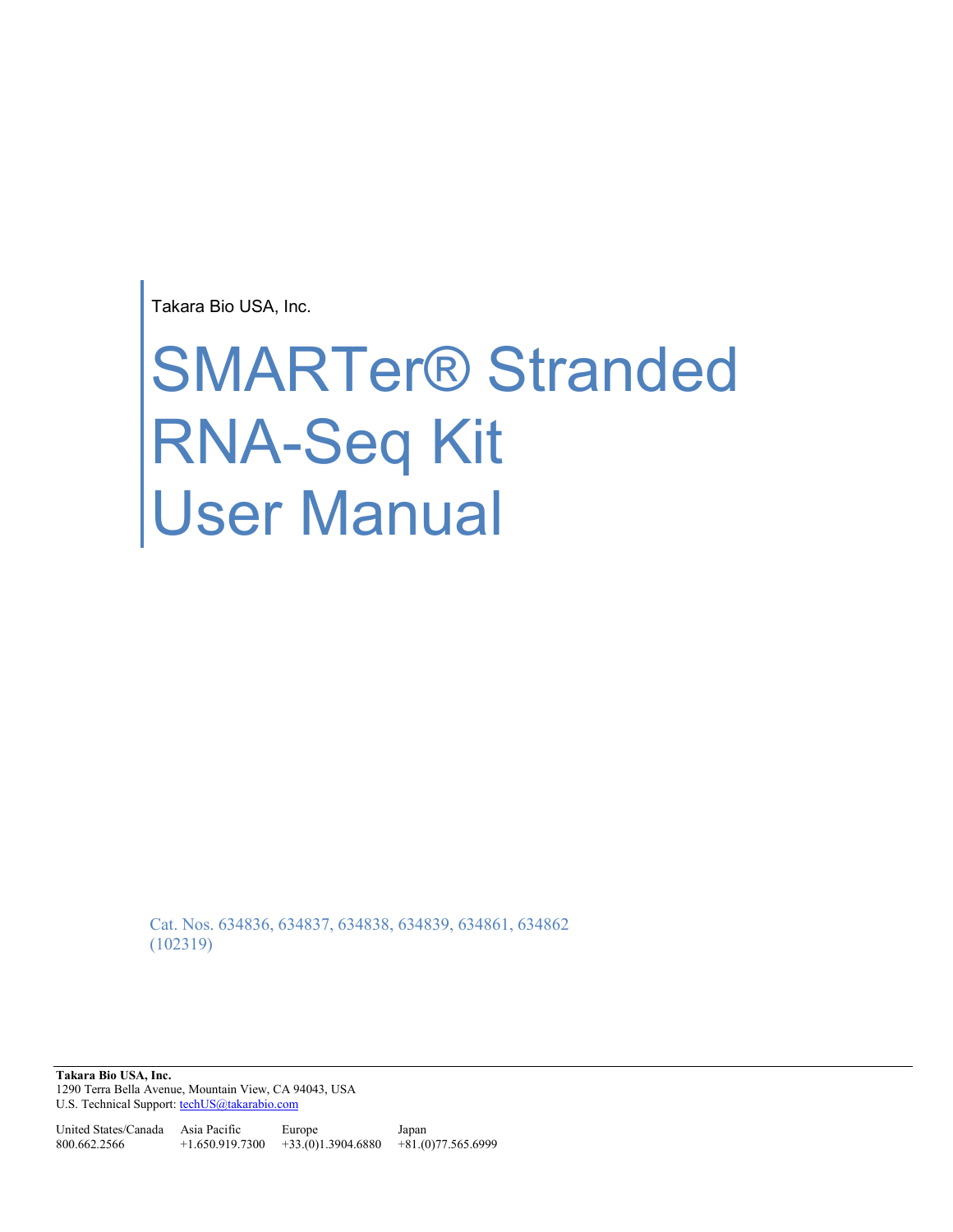Takara Bio USA, Inc.

# SMARTer® Stranded RNA-Seq Kit User Manual

Cat. Nos. 634836, 634837, 634838, 634839, 634861, 634862 (102319)

**Takara Bio USA, Inc.**  1290 Terra Bella Avenue, Mountain View, CA 94043, USA U.S. Technical Support[: techUS@takarabio.com](mailto:techUS@takarabio.com)

United States/Canada Asia Pacific 800.662.2566 +1.650.919.7300 +33.(0)1.3904.6880 +81.(0)77.565.6999 Europe Japan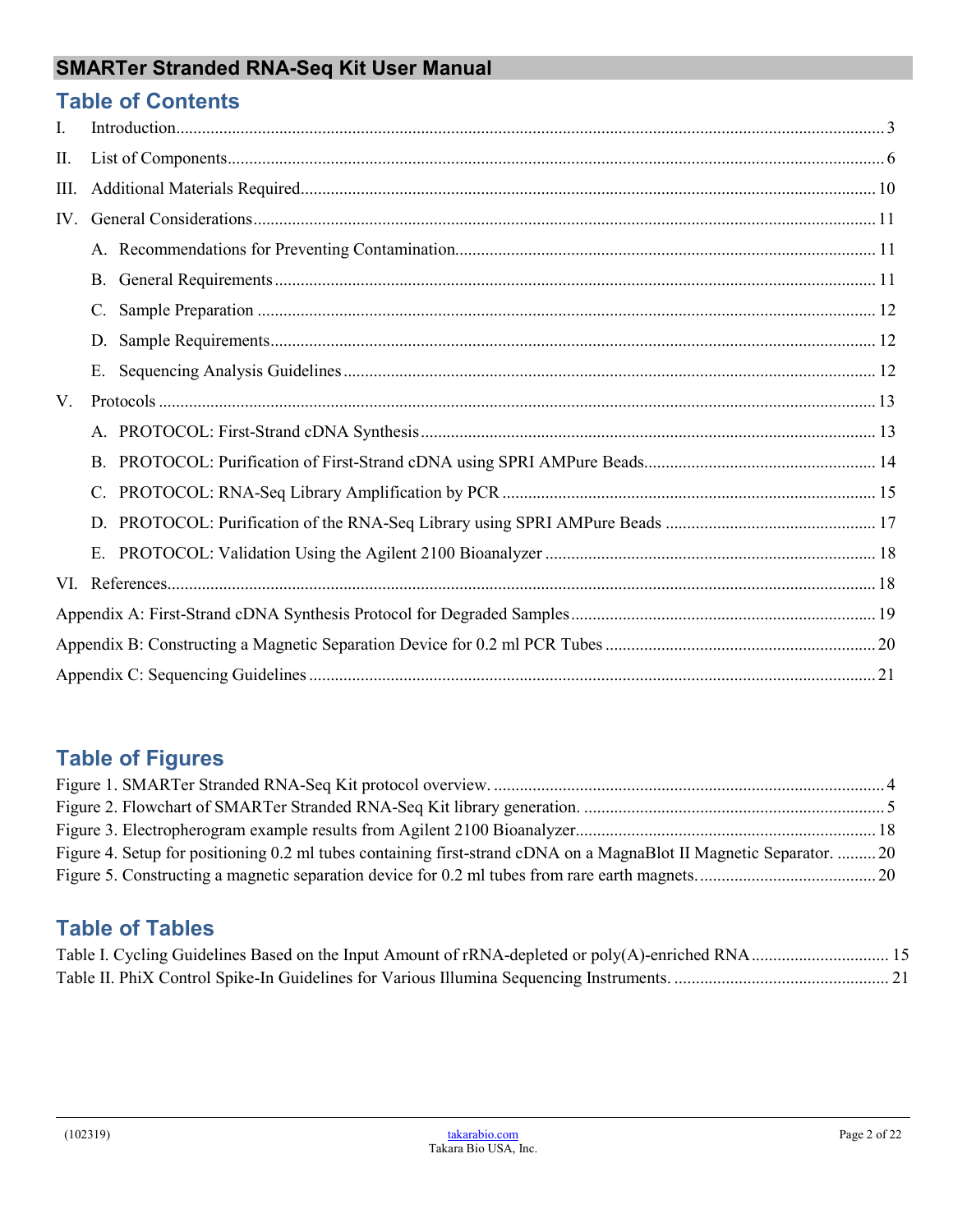## **Table of Contents**

| I.   |    |  |  |
|------|----|--|--|
| П.   |    |  |  |
| III. |    |  |  |
| IV.  |    |  |  |
|      |    |  |  |
|      |    |  |  |
|      |    |  |  |
|      | D. |  |  |
|      | E. |  |  |
| V.   |    |  |  |
|      |    |  |  |
|      |    |  |  |
|      |    |  |  |
|      |    |  |  |
|      |    |  |  |
|      |    |  |  |
|      |    |  |  |
|      |    |  |  |
|      |    |  |  |

# **Table of Figures**

| Figure 4. Setup for positioning 0.2 ml tubes containing first-strand cDNA on a MagnaBlot II Magnetic Separator.  20 |  |
|---------------------------------------------------------------------------------------------------------------------|--|
|                                                                                                                     |  |

# **Table of Tables**

| Table I. Cycling Guidelines Based on the Input Amount of rRNA-depleted or poly(A)-enriched RNA 15 |  |
|---------------------------------------------------------------------------------------------------|--|
|                                                                                                   |  |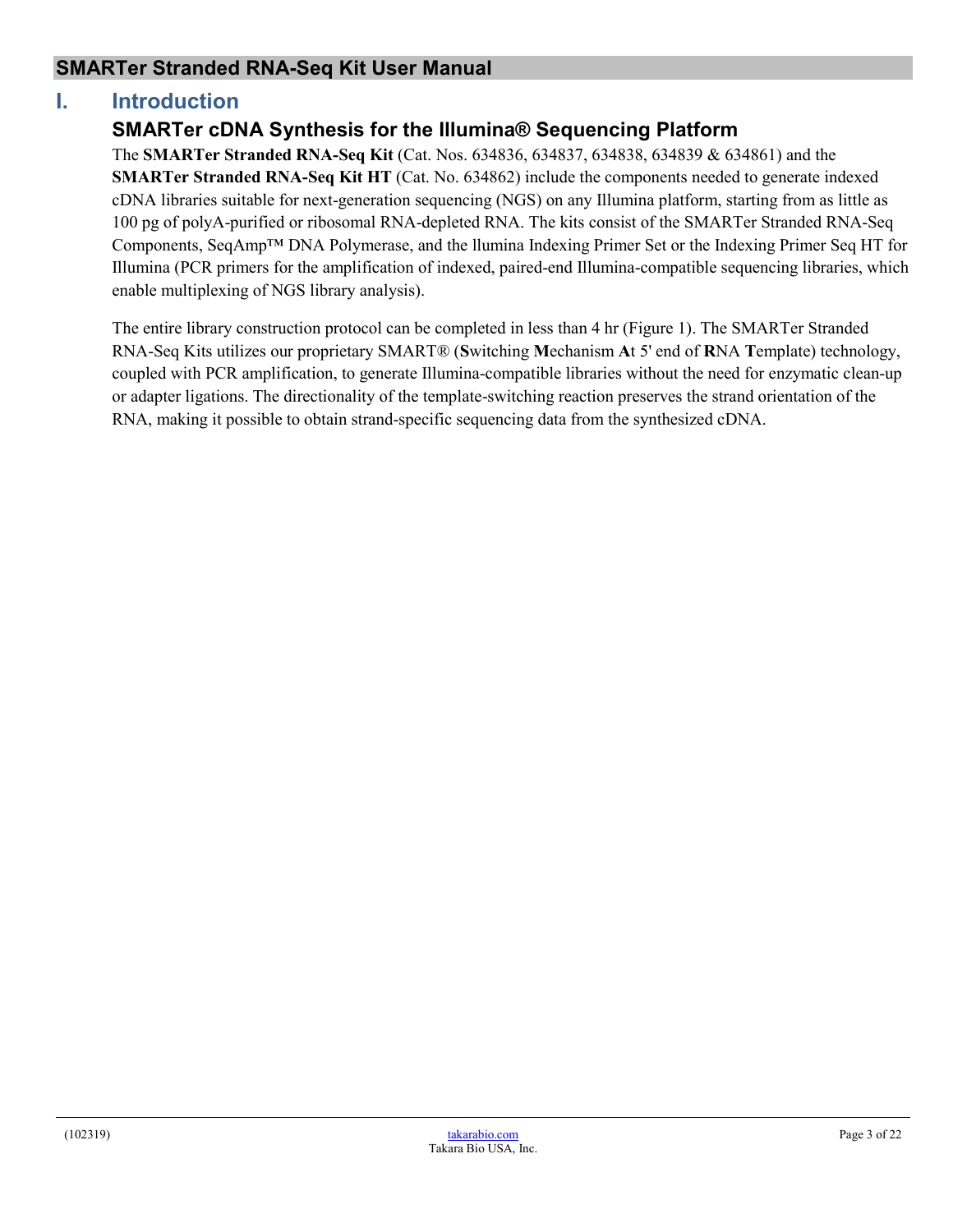## <span id="page-2-0"></span>**I. Introduction**

## **SMARTer cDNA Synthesis for the Illumina® Sequencing Platform**

The **SMARTer Stranded RNA-Seq Kit** (Cat. Nos. 634836, 634837, 634838, 634839 & 634861) and the **SMARTer Stranded RNA-Seq Kit HT** (Cat. No. 634862) include the components needed to generate indexed cDNA libraries suitable for next-generation sequencing (NGS) on any Illumina platform, starting from as little as 100 pg of polyA-purified or ribosomal RNA-depleted RNA. The kits consist of the SMARTer Stranded RNA-Seq Components, SeqAmp™ DNA Polymerase, and the llumina Indexing Primer Set or the Indexing Primer Seq HT for Illumina (PCR primers for the amplification of indexed, paired-end Illumina-compatible sequencing libraries, which enable multiplexing of NGS library analysis).

The entire library construction protocol can be completed in less than 4 hr (Figure 1). The SMARTer Stranded RNA-Seq Kits utilizes our proprietary SMART® (**S**witching **M**echanism **A**t 5' end of **R**NA **T**emplate) technology, coupled with PCR amplification, to generate Illumina-compatible libraries without the need for enzymatic clean-up or adapter ligations. The directionality of the template-switching reaction preserves the strand orientation of the RNA, making it possible to obtain strand-specific sequencing data from the synthesized cDNA.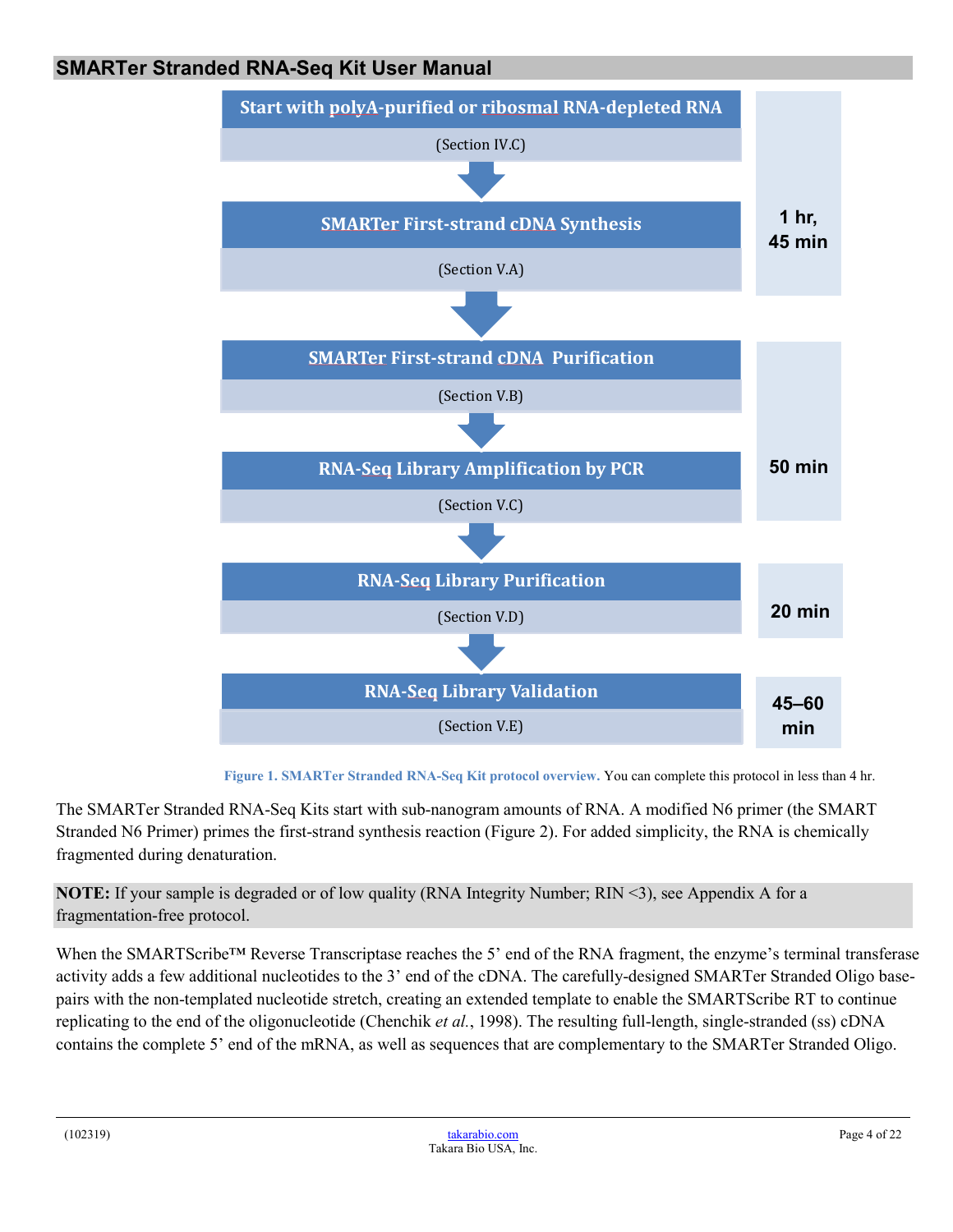

**Figure 1. SMARTer Stranded RNA-Seq Kit protocol overview.** You can complete this protocol in less than 4 hr.

<span id="page-3-0"></span>The SMARTer Stranded RNA-Seq Kits start with sub-nanogram amounts of RNA. A modified N6 primer (the SMART Stranded N6 Primer) primes the first-strand synthesis reaction (Figure 2). For added simplicity, the RNA is chemically fragmented during denaturation.

**NOTE:** If your sample is degraded or of low quality (RNA Integrity Number; RIN <3), see Appendix A for a fragmentation-free protocol.

When the SMARTScribe™ Reverse Transcriptase reaches the 5' end of the RNA fragment, the enzyme's terminal transferase activity adds a few additional nucleotides to the 3' end of the cDNA. The carefully-designed SMARTer Stranded Oligo basepairs with the non-templated nucleotide stretch, creating an extended template to enable the SMARTScribe RT to continue replicating to the end of the oligonucleotide (Chenchik *et al.*, 1998). The resulting full-length, single-stranded (ss) cDNA contains the complete 5' end of the mRNA, as well as sequences that are complementary to the SMARTer Stranded Oligo.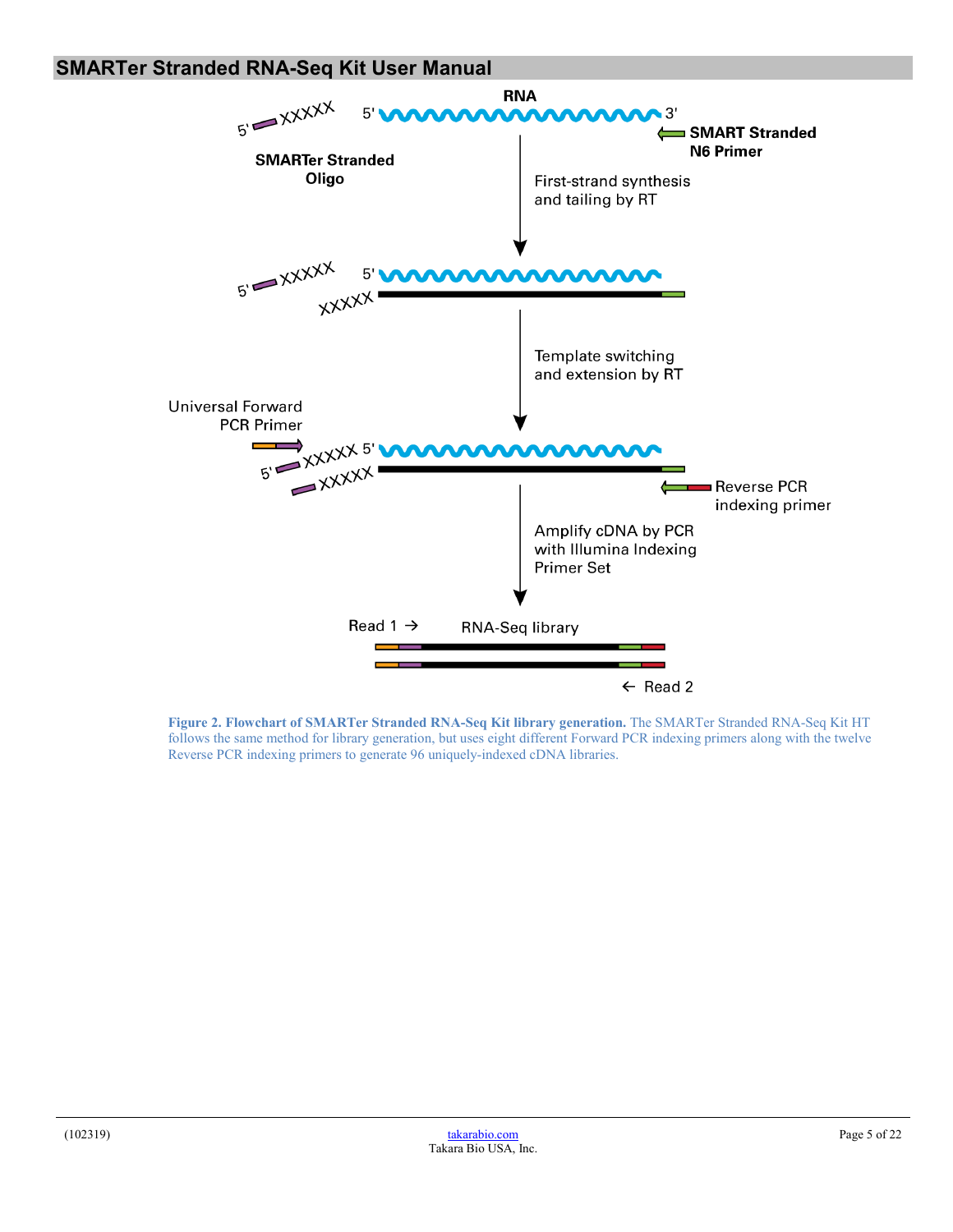

<span id="page-4-0"></span>**Figure 2. Flowchart of SMARTer Stranded RNA-Seq Kit library generation.** The SMARTer Stranded RNA-Seq Kit HT follows the same method for library generation, but uses eight different Forward PCR indexing primers along with the twelve Reverse PCR indexing primers to generate 96 uniquely-indexed cDNA libraries.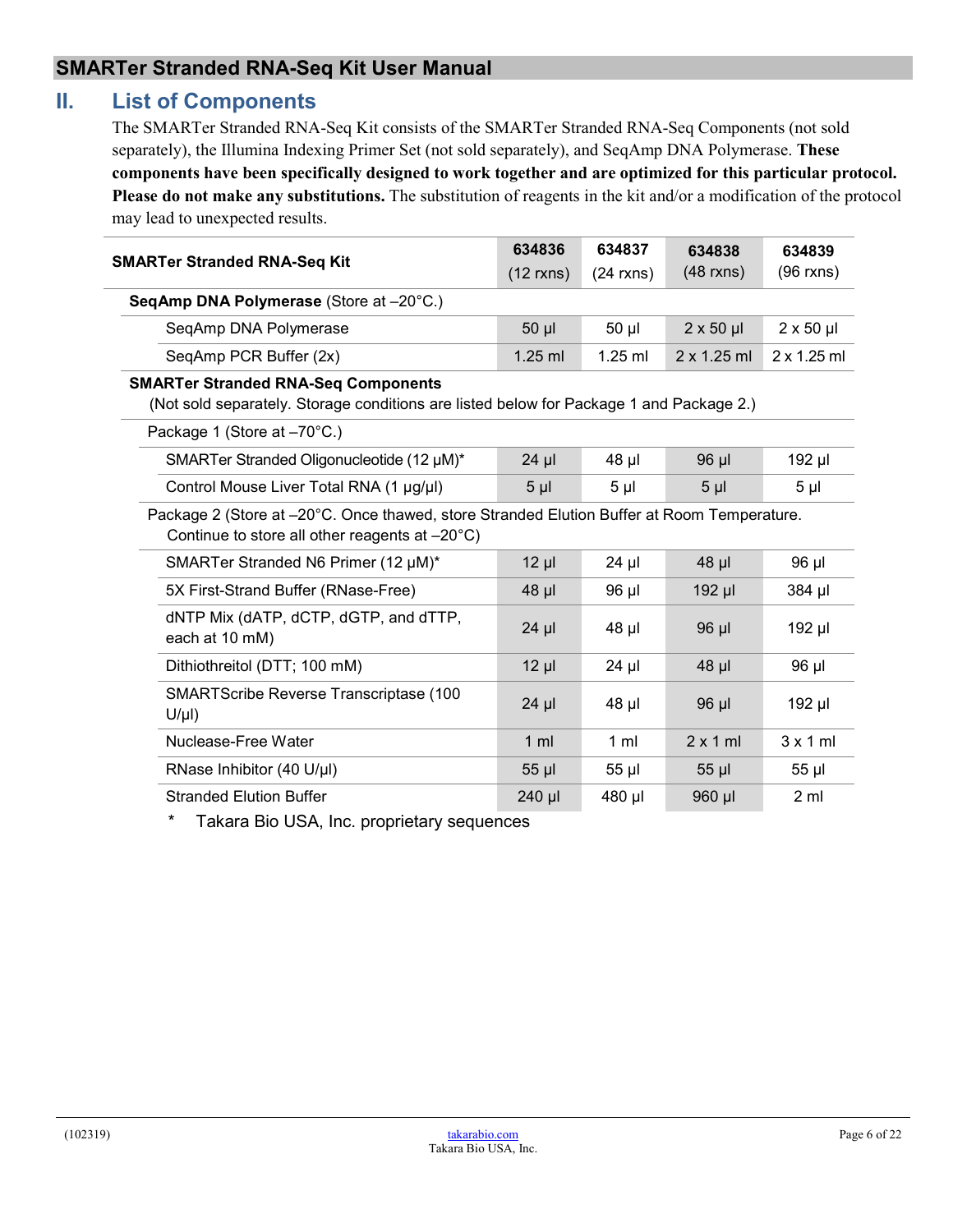## <span id="page-5-0"></span>**II. List of Components**

The SMARTer Stranded RNA-Seq Kit consists of the SMARTer Stranded RNA-Seq Components (not sold separately), the Illumina Indexing Primer Set (not sold separately), and SeqAmp DNA Polymerase. **These components have been specifically designed to work together and are optimized for this particular protocol. Please do not make any substitutions.** The substitution of reagents in the kit and/or a modification of the protocol may lead to unexpected results.

|                                                                                                                                              | 634836         | 634837         | 634838           | 634839           |
|----------------------------------------------------------------------------------------------------------------------------------------------|----------------|----------------|------------------|------------------|
| <b>SMARTer Stranded RNA-Seq Kit</b>                                                                                                          | $(12$ rxns)    | $(24$ rxns)    | $(48$ rxns)      | $(96$ rxns)      |
| SeqAmp DNA Polymerase (Store at -20°C.)                                                                                                      |                |                |                  |                  |
| SeqAmp DNA Polymerase                                                                                                                        | 50 µl          | 50 µl          | $2 \times 50$ µl | $2 \times 50$ µl |
| SeqAmp PCR Buffer (2x)                                                                                                                       | $1.25$ ml      | $1.25$ ml      | 2 x 1.25 ml      | 2 x 1.25 m1      |
| <b>SMARTer Stranded RNA-Seq Components</b><br>(Not sold separately. Storage conditions are listed below for Package 1 and Package 2.)        |                |                |                  |                  |
| Package 1 (Store at -70°C.)                                                                                                                  |                |                |                  |                  |
| SMARTer Stranded Oligonucleotide (12 µM)*                                                                                                    | $24$ µl        | 48 µl          | 96 µl            | 192 µl           |
| Control Mouse Liver Total RNA (1 µg/µl)                                                                                                      | $5 \mu$        | $5 \mu$        | $5 \mu$          | 5 <sub>µ</sub>   |
| Package 2 (Store at -20°C. Once thawed, store Stranded Elution Buffer at Room Temperature.<br>Continue to store all other reagents at -20°C) |                |                |                  |                  |
| SMARTer Stranded N6 Primer (12 µM)*                                                                                                          | $12 \mu$       | $24$ µl        | 48 µl            | 96 µl            |
| 5X First-Strand Buffer (RNase-Free)                                                                                                          | 48 µl          | 96 µl          | 192 µl           | 384 µl           |
| dNTP Mix (dATP, dCTP, dGTP, and dTTP,<br>each at 10 mM)                                                                                      | $24$ µl        | 48 µl          | 96 µl            | 192 µl           |
| Dithiothreitol (DTT; 100 mM)                                                                                                                 | $12 \mu$       | $24$ µl        | 48 µl            | 96 µl            |
| SMARTScribe Reverse Transcriptase (100<br>$U/\mu$ l)                                                                                         | $24$ µl        | 48 µl          | 96 µl            | 192 µl           |
| Nuclease-Free Water                                                                                                                          | 1 <sub>m</sub> | 1 <sub>m</sub> | $2 \times 1$ ml  | 3x1ml            |
|                                                                                                                                              |                |                |                  |                  |
| RNase Inhibitor (40 U/µl)                                                                                                                    | 55 µl          | 55 µl          | 55 µl            | 55 µl            |

Takara Bio USA, Inc. proprietary sequences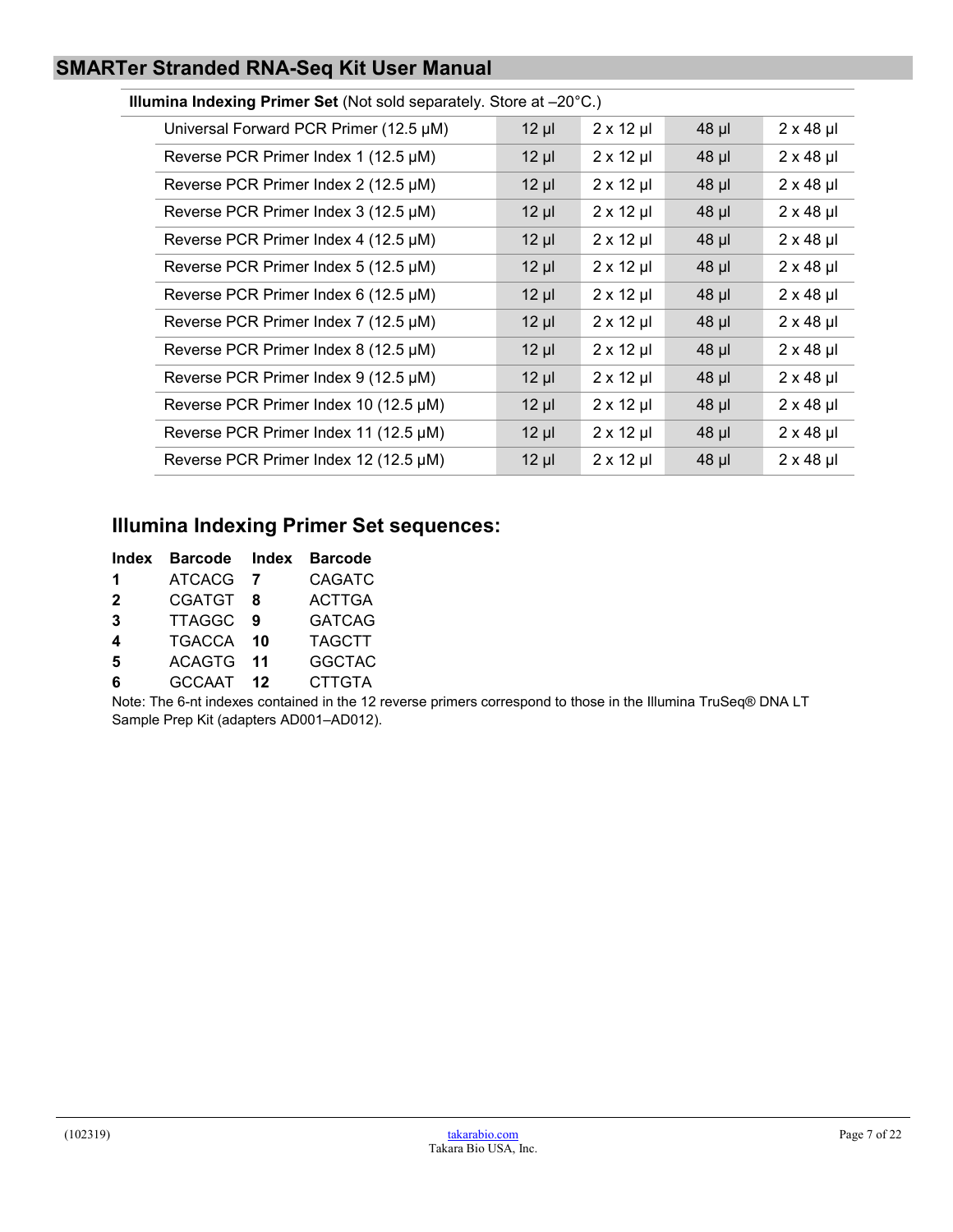#### **Illumina Indexing Primer Set** (Not sold separately. Store at –20°C.)

| Universal Forward PCR Primer (12.5 µM) | $12 \mu$ | $2 \times 12$ µl | $48$ µl | $2 \times 48$ µl |
|----------------------------------------|----------|------------------|---------|------------------|
| Reverse PCR Primer Index 1 (12.5 µM)   | $12 \mu$ | $2 \times 12$ µl | $48$ µl | $2 \times 48$ µl |
| Reverse PCR Primer Index 2 (12.5 µM)   | $12 \mu$ | $2 \times 12$ µl | $48$ µl | $2 \times 48$ µl |
| Reverse PCR Primer Index 3 (12.5 µM)   | $12 \mu$ | $2 \times 12$ µl | $48$ µl | $2 \times 48$ µl |
| Reverse PCR Primer Index 4 (12.5 µM)   | $12 \mu$ | $2 \times 12$ µl | $48$ µl | $2 \times 48$ µl |
| Reverse PCR Primer Index 5 (12.5 µM)   | $12 \mu$ | $2 \times 12$ µl | $48$ µl | $2 \times 48$ µl |
| Reverse PCR Primer Index 6 (12.5 µM)   | $12 \mu$ | $2 \times 12$ µl | 48 µl   | $2 \times 48$ µl |
| Reverse PCR Primer Index 7 (12.5 µM)   | $12 \mu$ | $2 \times 12$ µl | $48$ µl | $2 \times 48$ µl |
| Reverse PCR Primer Index 8 (12.5 µM)   | $12 \mu$ | $2 \times 12$ µl | $48$ µl | $2 \times 48$ µl |
| Reverse PCR Primer Index 9 (12.5 µM)   | $12 \mu$ | $2 \times 12$ µl | $48$ µl | $2 \times 48$ µl |
| Reverse PCR Primer Index 10 (12.5 µM)  | $12 \mu$ | $2 \times 12$ µl | $48$ µl | $2 \times 48$ µl |
| Reverse PCR Primer Index 11 (12.5 µM)  | $12 \mu$ | $2 \times 12$ µl | $48$ µl | $2 \times 48$ µl |
| Reverse PCR Primer Index 12 (12.5 µM)  | $12 \mu$ | $2 \times 12$ µl | $48$ µl | $2 \times 48$ µl |
|                                        |          |                  |         |                  |

## **Illumina Indexing Primer Set sequences:**

| Index        | Barcode Index Barcode |       |               |
|--------------|-----------------------|-------|---------------|
| 1.           | ATCACG 7              |       | <b>CAGATC</b> |
| $\mathbf{2}$ | <b>CGATGT</b>         | -8    | <b>ACTTGA</b> |
| 3            | TTAGGC 9              |       | <b>GATCAG</b> |
| 4            | <b>TGACCA</b>         | - 10  | <b>TAGCTT</b> |
| 5            | <b>ACAGTG</b>         | $-11$ | <b>GGCTAC</b> |
| 6            | GCCAAT 12             |       | <b>CTTGTA</b> |

Note: The 6-nt indexes contained in the 12 reverse primers correspond to those in the Illumina TruSeq® DNA LT Sample Prep Kit (adapters AD001–AD012).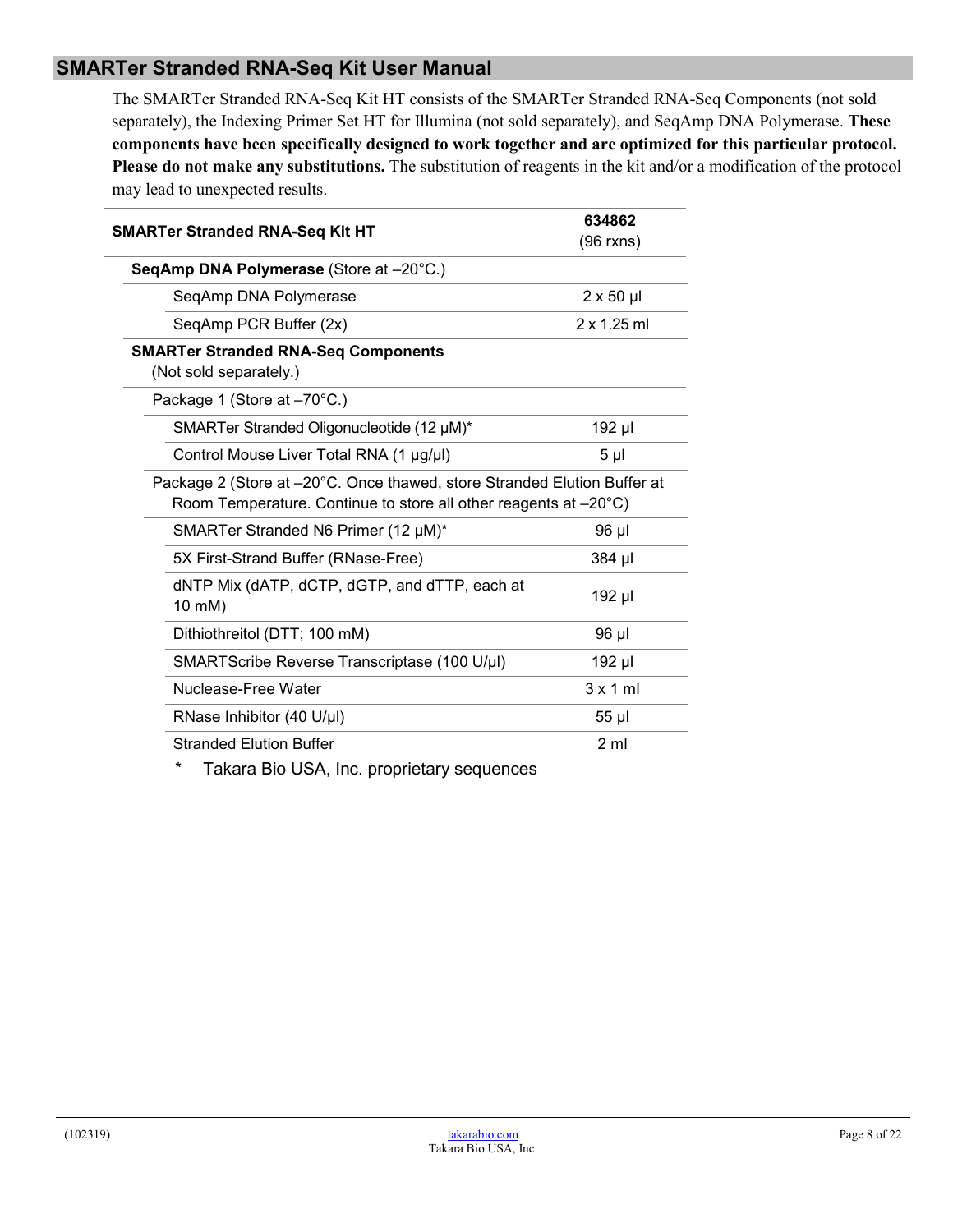The SMARTer Stranded RNA-Seq Kit HT consists of the SMARTer Stranded RNA-Seq Components (not sold separately), the Indexing Primer Set HT for Illumina (not sold separately), and SeqAmp DNA Polymerase. **These components have been specifically designed to work together and are optimized for this particular protocol. Please do not make any substitutions.** The substitution of reagents in the kit and/or a modification of the protocol may lead to unexpected results.

| <b>SMARTer Stranded RNA-Seq Kit HT</b>                                                                                                                                                                                                                                                                                                                                                                | 634862           |
|-------------------------------------------------------------------------------------------------------------------------------------------------------------------------------------------------------------------------------------------------------------------------------------------------------------------------------------------------------------------------------------------------------|------------------|
|                                                                                                                                                                                                                                                                                                                                                                                                       | (96 rxns)        |
| SeqAmp DNA Polymerase (Store at -20°C.)                                                                                                                                                                                                                                                                                                                                                               |                  |
| SeqAmp DNA Polymerase                                                                                                                                                                                                                                                                                                                                                                                 | $2 \times 50$ µl |
| SeqAmp PCR Buffer (2x)                                                                                                                                                                                                                                                                                                                                                                                | 2 x 1.25 ml      |
| <b>SMARTer Stranded RNA-Seq Components</b><br>(Not sold separately.)                                                                                                                                                                                                                                                                                                                                  |                  |
| Package 1 (Store at -70°C.)                                                                                                                                                                                                                                                                                                                                                                           |                  |
| SMARTer Stranded Oligonucleotide (12 µM)*                                                                                                                                                                                                                                                                                                                                                             | 192 µl           |
| Control Mouse Liver Total RNA (1 µg/µl)                                                                                                                                                                                                                                                                                                                                                               | 5 <sub>µ</sub>   |
| Package 2 (Store at -20°C. Once thawed, store Stranded Elution Buffer at<br>Room Temperature. Continue to store all other reagents at -20°C)                                                                                                                                                                                                                                                          |                  |
| SMARTer Stranded N6 Primer (12 µM)*                                                                                                                                                                                                                                                                                                                                                                   | 96 µl            |
| 5X First-Strand Buffer (RNase-Free)                                                                                                                                                                                                                                                                                                                                                                   | 384 µl           |
| dNTP Mix (dATP, dCTP, dGTP, and dTTP, each at<br>10 mM)                                                                                                                                                                                                                                                                                                                                               | 192 µl           |
| Dithiothreitol (DTT; 100 mM)                                                                                                                                                                                                                                                                                                                                                                          | 96 µl            |
| SMARTScribe Reverse Transcriptase (100 U/µl)                                                                                                                                                                                                                                                                                                                                                          | 192 µl           |
| Nuclease-Free Water                                                                                                                                                                                                                                                                                                                                                                                   | $3 \times 1$ ml  |
| RNase Inhibitor (40 U/µl)                                                                                                                                                                                                                                                                                                                                                                             | 55 µl            |
| <b>Stranded Elution Buffer</b>                                                                                                                                                                                                                                                                                                                                                                        | 2 <sub>m</sub>   |
| $\ddot{\phantom{a}}$ $\dddot{\phantom{a}}$ $\dddot{\phantom{a}}$ $\ddot{\phantom{a}}$ $\ddot{\phantom{a}}$ $\ddot{\phantom{a}}$ $\ddot{\phantom{a}}$ $\ddot{\phantom{a}}$ $\ddot{\phantom{a}}$ $\ddot{\phantom{a}}$ $\ddot{\phantom{a}}$ $\ddot{\phantom{a}}$ $\ddot{\phantom{a}}$ $\ddot{\phantom{a}}$ $\ddot{\phantom{a}}$ $\ddot{\phantom{a}}$ $\ddot{\phantom{a}}$ $\ddot{\phantom{a}}$ $\ddot{\$ |                  |

Takara Bio USA, Inc. proprietary sequences

L.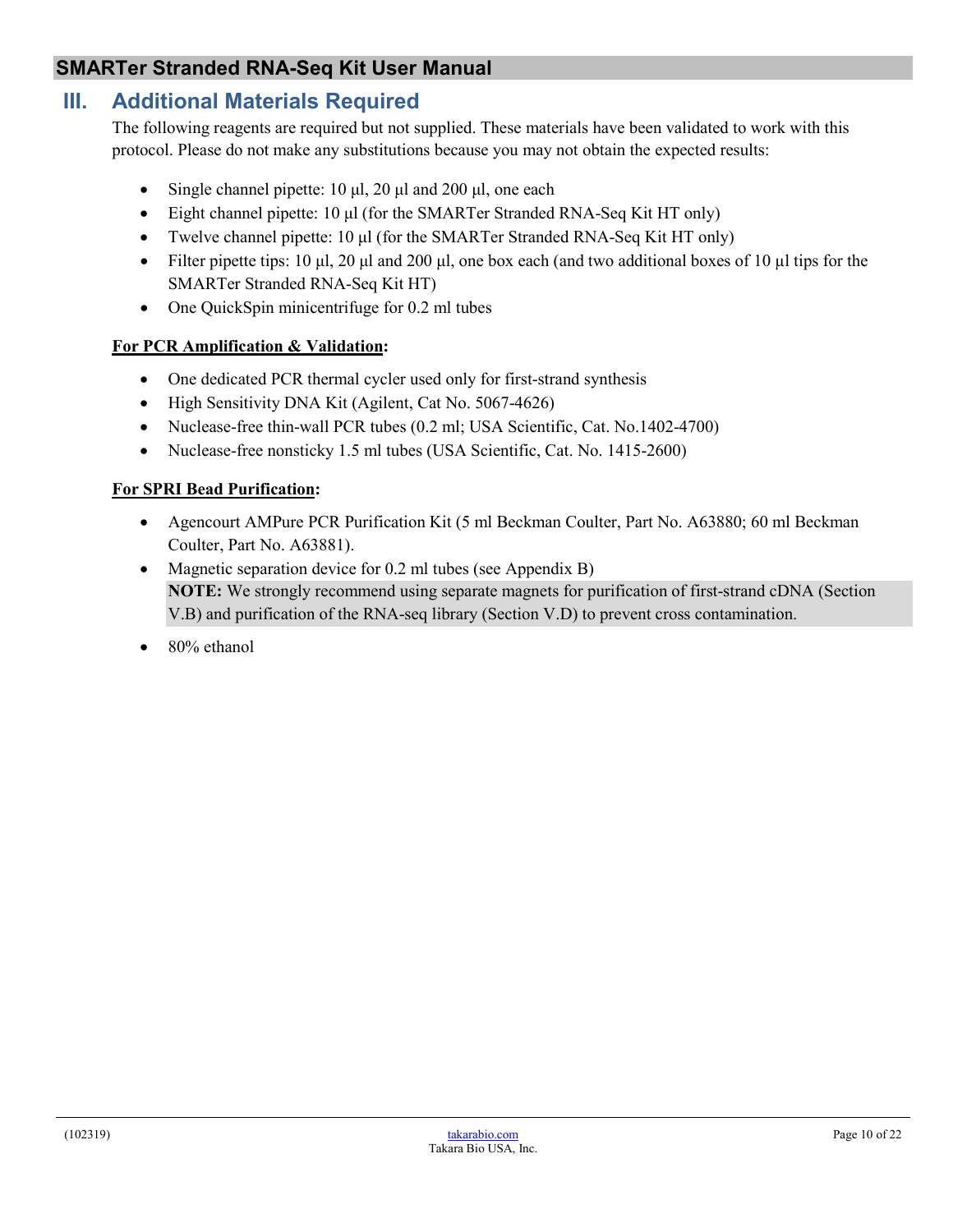## <span id="page-9-0"></span>**III. Additional Materials Required**

The following reagents are required but not supplied. These materials have been validated to work with this protocol. Please do not make any substitutions because you may not obtain the expected results:

- Single channel pipette: 10 μl, 20 μl and 200 μl, one each
- Eight channel pipette: 10 μl (for the SMARTer Stranded RNA-Seq Kit HT only)
- Twelve channel pipette: 10 μl (for the SMARTer Stranded RNA-Seq Kit HT only)
- Filter pipette tips: 10 μl, 20 μl and 200 μl, one box each (and two additional boxes of 10 μl tips for the SMARTer Stranded RNA-Seq Kit HT)
- One QuickSpin minicentrifuge for 0.2 ml tubes

#### **For PCR Amplification & Validation:**

- One dedicated PCR thermal cycler used only for first-strand synthesis
- High Sensitivity DNA Kit (Agilent, Cat No. 5067-4626)
- Nuclease-free thin-wall PCR tubes (0.2 ml; USA Scientific, Cat. No.1402-4700)
- Nuclease-free nonsticky 1.5 ml tubes (USA Scientific, Cat. No. 1415-2600)

#### **For SPRI Bead Purification:**

- Agencourt AMPure PCR Purification Kit (5 ml Beckman Coulter, Part No. A63880; 60 ml Beckman Coulter, Part No. A63881).
- Magnetic separation device for 0.2 ml tubes (see Appendix B) **NOTE:** We strongly recommend using separate magnets for purification of first-strand cDNA (Section V.B) and purification of the RNA-seq library (Section V.D) to prevent cross contamination.
- 80% ethanol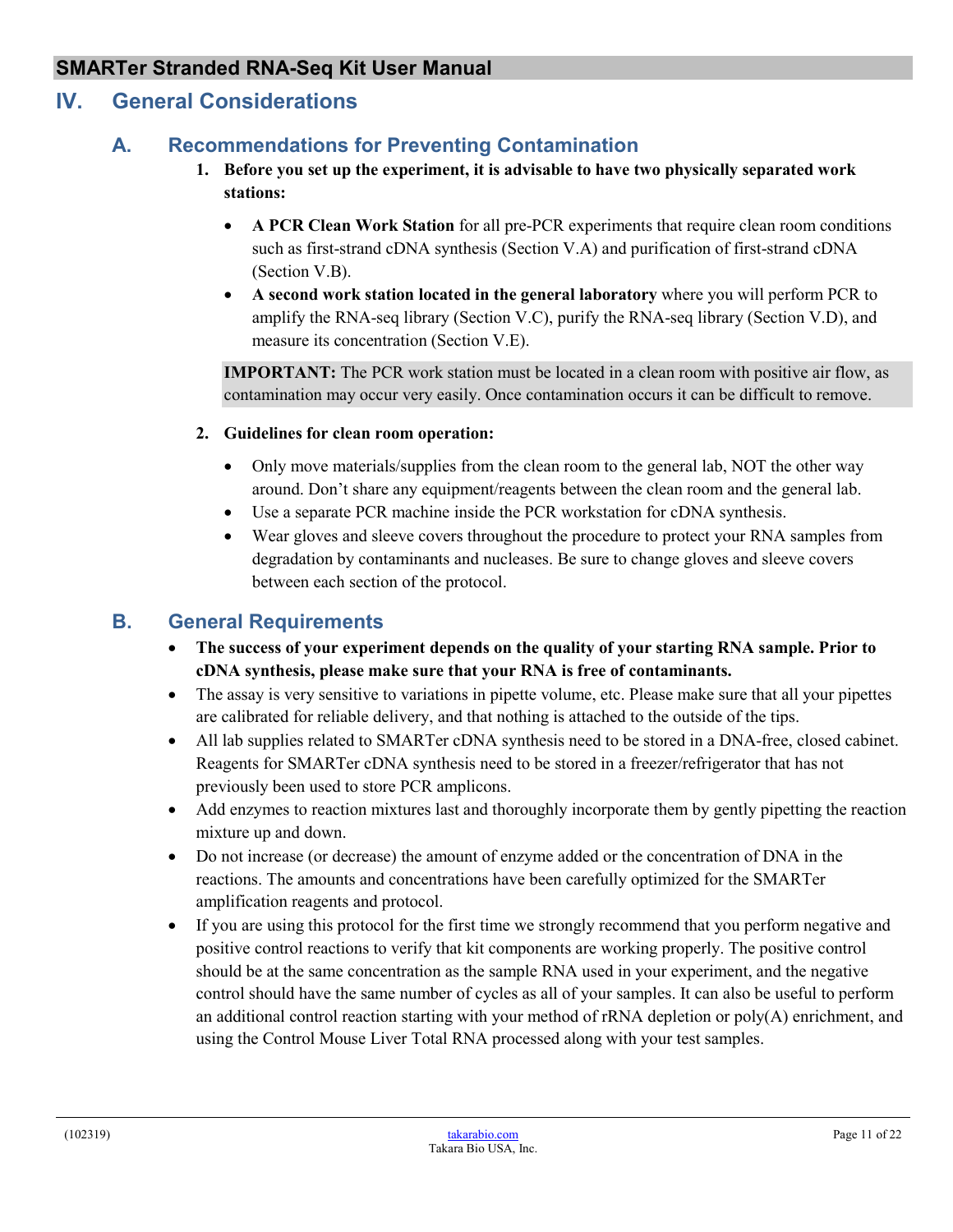## <span id="page-10-1"></span><span id="page-10-0"></span>**IV. General Considerations**

## **A. Recommendations for Preventing Contamination**

- **1. Before you set up the experiment, it is advisable to have two physically separated work stations:** 
	- **A PCR Clean Work Station** for all pre-PCR experiments that require clean room conditions such as first-strand cDNA synthesis (Section V.A) and purification of first-strand cDNA (Section V.B).
	- **A second work station located in the general laboratory** where you will perform PCR to amplify the RNA-seq library (Section V.C), purify the RNA-seq library (Section V.D), and measure its concentration (Section V.E).

**IMPORTANT:** The PCR work station must be located in a clean room with positive air flow, as contamination may occur very easily. Once contamination occurs it can be difficult to remove.

#### **2. Guidelines for clean room operation:**

- Only move materials/supplies from the clean room to the general lab, NOT the other way around. Don't share any equipment/reagents between the clean room and the general lab.
- Use a separate PCR machine inside the PCR workstation for cDNA synthesis.
- Wear gloves and sleeve covers throughout the procedure to protect your RNA samples from degradation by contaminants and nucleases. Be sure to change gloves and sleeve covers between each section of the protocol.

## <span id="page-10-2"></span>**B. General Requirements**

- **The success of your experiment depends on the quality of your starting RNA sample. Prior to cDNA synthesis, please make sure that your RNA is free of contaminants.**
- The assay is very sensitive to variations in pipette volume, etc. Please make sure that all your pipettes are calibrated for reliable delivery, and that nothing is attached to the outside of the tips.
- All lab supplies related to SMARTer cDNA synthesis need to be stored in a DNA-free, closed cabinet. Reagents for SMARTer cDNA synthesis need to be stored in a freezer/refrigerator that has not previously been used to store PCR amplicons.
- Add enzymes to reaction mixtures last and thoroughly incorporate them by gently pipetting the reaction mixture up and down.
- Do not increase (or decrease) the amount of enzyme added or the concentration of DNA in the reactions. The amounts and concentrations have been carefully optimized for the SMARTer amplification reagents and protocol.
- If you are using this protocol for the first time we strongly recommend that you perform negative and positive control reactions to verify that kit components are working properly. The positive control should be at the same concentration as the sample RNA used in your experiment, and the negative control should have the same number of cycles as all of your samples. It can also be useful to perform an additional control reaction starting with your method of  $rRNA$  depletion or  $poly(A)$  enrichment, and using the Control Mouse Liver Total RNA processed along with your test samples.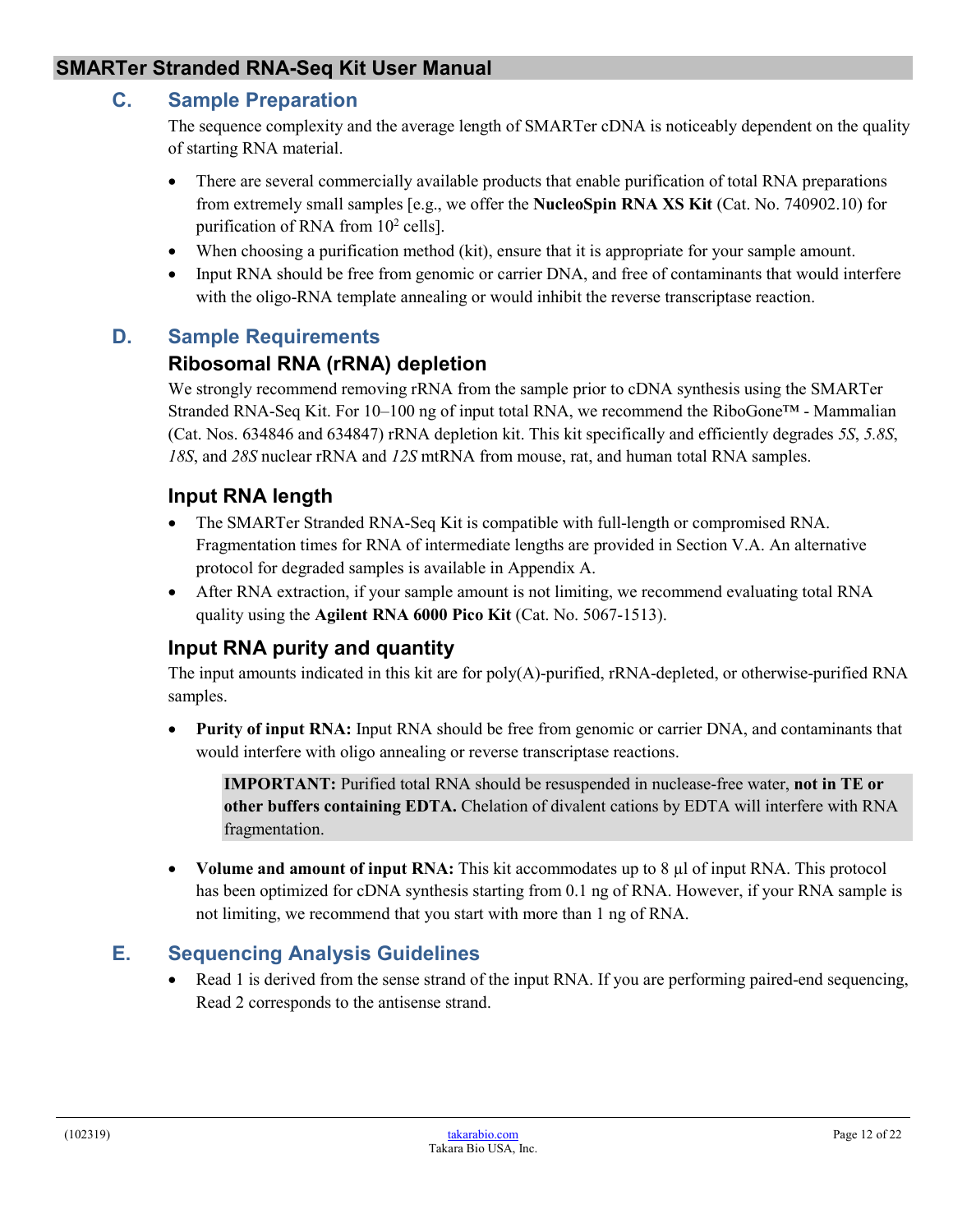#### <span id="page-11-0"></span>**C. Sample Preparation**

The sequence complexity and the average length of SMARTer cDNA is noticeably dependent on the quality of starting RNA material.

- There are several commercially available products that enable purification of total RNA preparations from extremely small samples [e.g., we offer the **NucleoSpin RNA XS Kit** (Cat. No. 740902.10) for purification of RNA from  $10^2$  cells].
- When choosing a purification method (kit), ensure that it is appropriate for your sample amount.
- Input RNA should be free from genomic or carrier DNA, and free of contaminants that would interfere with the oligo-RNA template annealing or would inhibit the reverse transcriptase reaction.

#### <span id="page-11-1"></span>**D. Sample Requirements**

#### **Ribosomal RNA (rRNA) depletion**

We strongly recommend removing rRNA from the sample prior to cDNA synthesis using the SMARTer Stranded RNA-Seq Kit. For 10–100 ng of input total RNA, we recommend the RiboGone™ - Mammalian (Cat. Nos. 634846 and 634847) rRNA depletion kit. This kit specifically and efficiently degrades *5S*, *5.8S*, *18S*, and *28S* nuclear rRNA and *12S* mtRNA from mouse, rat, and human total RNA samples.

#### **Input RNA length**

- The SMARTer Stranded RNA-Seq Kit is compatible with full-length or compromised RNA. Fragmentation times for RNA of intermediate lengths are provided in Section V.A. An alternative protocol for degraded samples is available in Appendix A.
- After RNA extraction, if your sample amount is not limiting, we recommend evaluating total RNA quality using the **Agilent RNA 6000 Pico Kit** (Cat. No. 5067-1513).

#### **Input RNA purity and quantity**

The input amounts indicated in this kit are for poly(A)-purified, rRNA-depleted, or otherwise-purified RNA samples.

• **Purity of input RNA:** Input RNA should be free from genomic or carrier DNA, and contaminants that would interfere with oligo annealing or reverse transcriptase reactions.

**IMPORTANT:** Purified total RNA should be resuspended in nuclease-free water, **not in TE or other buffers containing EDTA.** Chelation of divalent cations by EDTA will interfere with RNA fragmentation.

• **Volume and amount of input RNA:** This kit accommodates up to 8 µl of input RNA. This protocol has been optimized for cDNA synthesis starting from 0.1 ng of RNA. However, if your RNA sample is not limiting, we recommend that you start with more than 1 ng of RNA.

#### <span id="page-11-2"></span>**E. Sequencing Analysis Guidelines**

• Read 1 is derived from the sense strand of the input RNA. If you are performing paired-end sequencing, Read 2 corresponds to the antisense strand.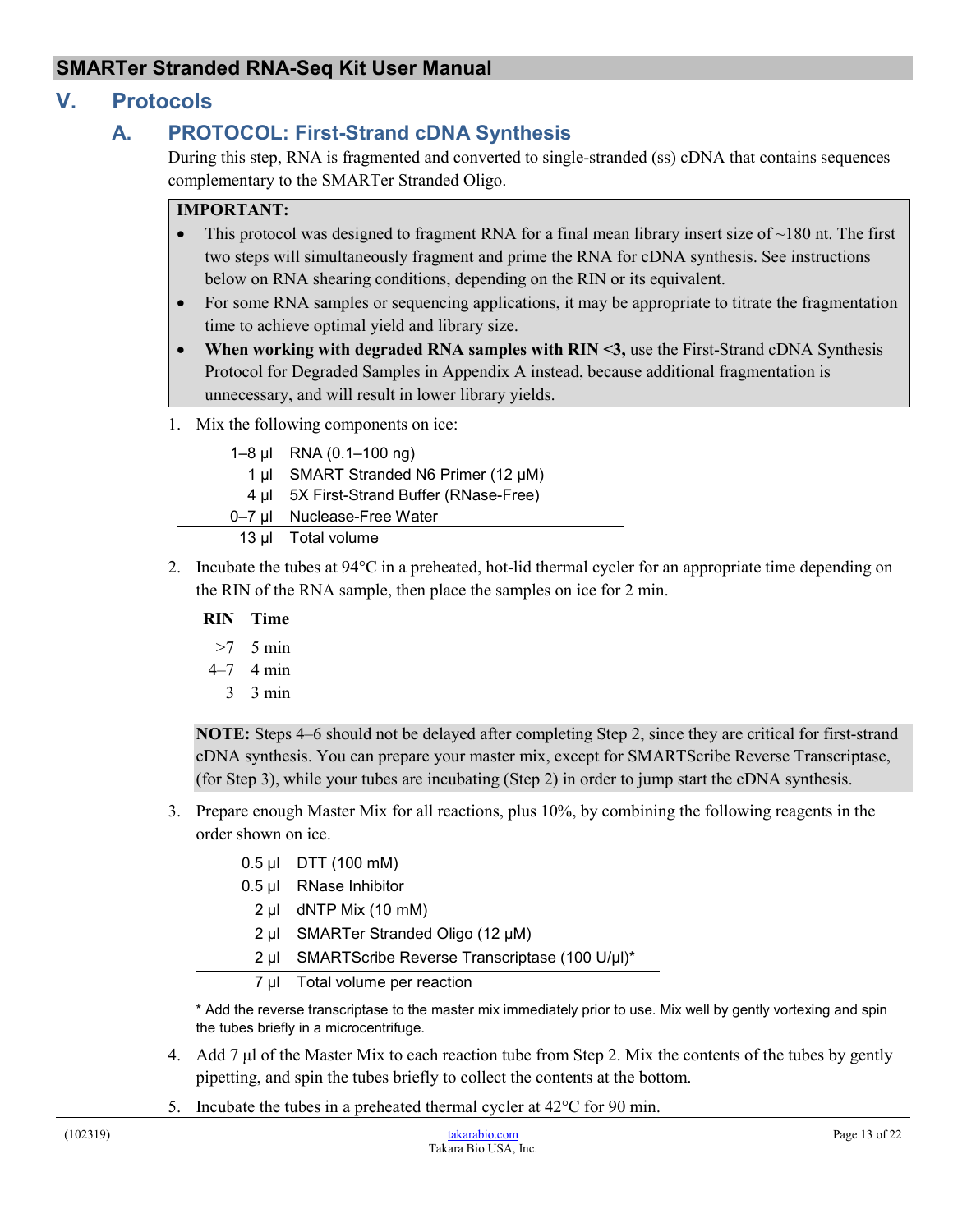## <span id="page-12-1"></span><span id="page-12-0"></span>**V. Protocols**

## **A. PROTOCOL: First-Strand cDNA Synthesis**

During this step, RNA is fragmented and converted to single-stranded (ss) cDNA that contains sequences complementary to the SMARTer Stranded Oligo.

#### **IMPORTANT:**

- This protocol was designed to fragment RNA for a final mean library insert size of  $\sim$ 180 nt. The first two steps will simultaneously fragment and prime the RNA for cDNA synthesis. See instructions below on RNA shearing conditions, depending on the RIN or its equivalent.
- For some RNA samples or sequencing applications, it may be appropriate to titrate the fragmentation time to achieve optimal yield and library size.
- **When working with degraded RNA samples with RIN <3,** use the First-Strand cDNA Synthesis Protocol for Degraded Samples in Appendix A instead, because additional fragmentation is unnecessary, and will result in lower library yields.
- 1. Mix the following components on ice:

| 1-8 $\mu$ I RNA (0.1-100 ng)             |
|------------------------------------------|
| 1 µl SMART Stranded N6 Primer (12 µM)    |
| 4 µl 5X First-Strand Buffer (RNase-Free) |
| 0-7 ul Nuclease-Free Water               |
| 13 µl Total volume                       |

2. Incubate the tubes at 94°C in a preheated, hot-lid thermal cycler for an appropriate time depending on the RIN of the RNA sample, then place the samples on ice for 2 min.

#### **RIN Time**

- >7 5 min
- 4–7 4 min
	- 3 3 min

**NOTE:** Steps 4–6 should not be delayed after completing Step 2, since they are critical for first-strand cDNA synthesis. You can prepare your master mix, except for SMARTScribe Reverse Transcriptase, (for Step 3), while your tubes are incubating (Step 2) in order to jump start the cDNA synthesis.

- 3. Prepare enough Master Mix for all reactions, plus 10%, by combining the following reagents in the order shown on ice.
	- 0.5 µl DTT (100 mM)
	- 0.5 µl RNase Inhibitor
		- 2 µl dNTP Mix (10 mM)
	- 2 µl SMARTer Stranded Oligo (12 μM)
	- 2 µl SMARTScribe Reverse Transcriptase (100 U/μl)\*

#### 7 µl Total volume per reaction

\* Add the reverse transcriptase to the master mix immediately prior to use. Mix well by gently vortexing and spin the tubes briefly in a microcentrifuge.

- 4. Add 7 μl of the Master Mix to each reaction tube from Step 2. Mix the contents of the tubes by gently pipetting, and spin the tubes briefly to collect the contents at the bottom.
- 5. Incubate the tubes in a preheated thermal cycler at 42°C for 90 min.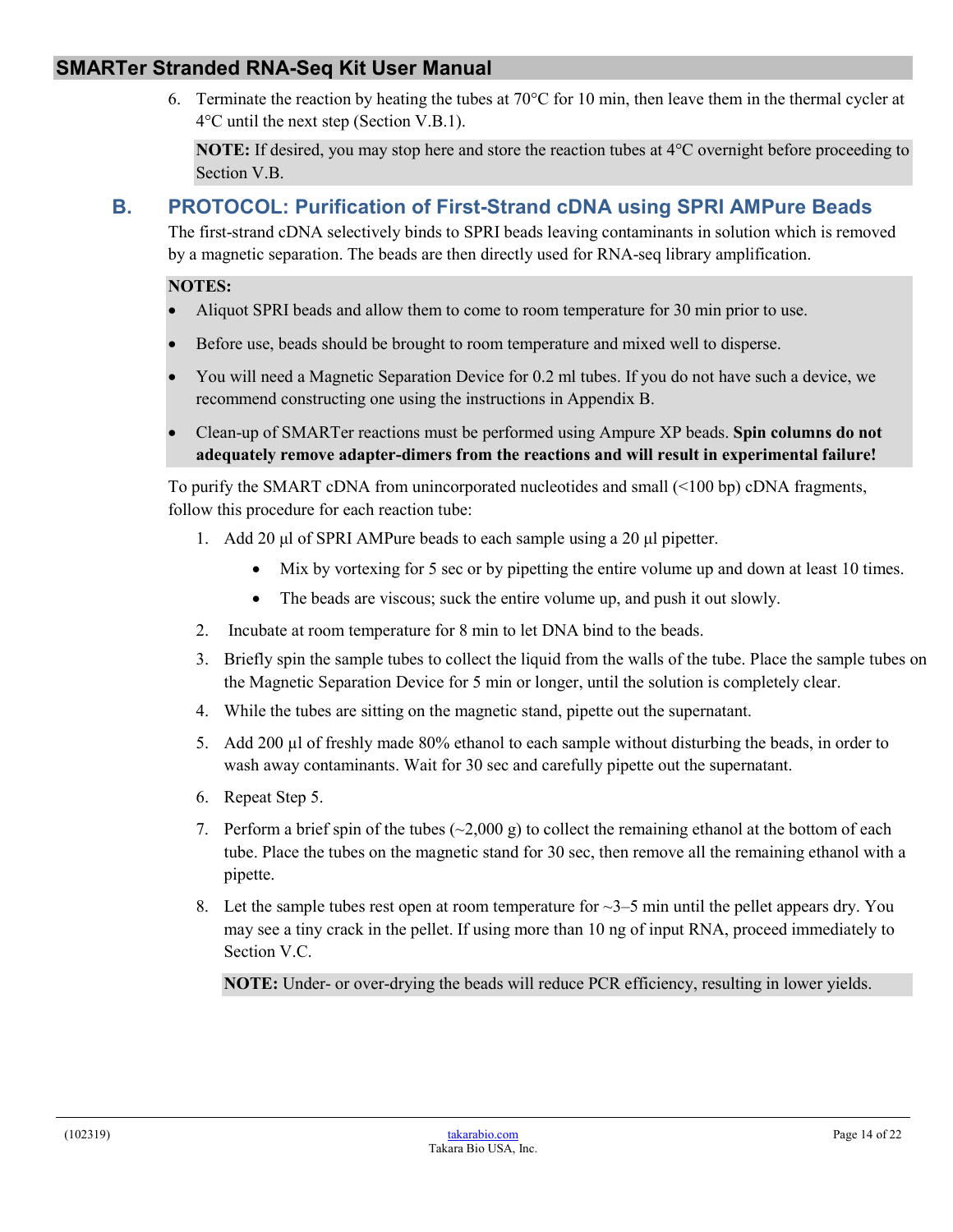6. Terminate the reaction by heating the tubes at  $70^{\circ}$ C for 10 min, then leave them in the thermal cycler at 4°C until the next step (Section V.B.1).

**NOTE:** If desired, you may stop here and store the reaction tubes at 4°C overnight before proceeding to Section V.B.

## <span id="page-13-0"></span>**B. PROTOCOL: Purification of First-Strand cDNA using SPRI AMPure Beads**

The first-strand cDNA selectively binds to SPRI beads leaving contaminants in solution which is removed by a magnetic separation. The beads are then directly used for RNA-seq library amplification.

#### **NOTES:**

- Aliquot SPRI beads and allow them to come to room temperature for 30 min prior to use.
- Before use, beads should be brought to room temperature and mixed well to disperse.
- You will need a Magnetic Separation Device for 0.2 ml tubes. If you do not have such a device, we recommend constructing one using the instructions in Appendix B.
- Clean-up of SMARTer reactions must be performed using Ampure XP beads. **Spin columns do not adequately remove adapter-dimers from the reactions and will result in experimental failure!**

To purify the SMART cDNA from unincorporated nucleotides and small (<100 bp) cDNA fragments, follow this procedure for each reaction tube:

- 1. Add 20 μl of SPRI AMPure beads to each sample using a 20 μl pipetter.
	- Mix by vortexing for 5 sec or by pipetting the entire volume up and down at least 10 times.
	- The beads are viscous; suck the entire volume up, and push it out slowly.
- 2. Incubate at room temperature for 8 min to let DNA bind to the beads.
- 3. Briefly spin the sample tubes to collect the liquid from the walls of the tube. Place the sample tubes on the Magnetic Separation Device for 5 min or longer, until the solution is completely clear.
- 4. While the tubes are sitting on the magnetic stand, pipette out the supernatant.
- 5. Add 200 µl of freshly made 80% ethanol to each sample without disturbing the beads, in order to wash away contaminants. Wait for 30 sec and carefully pipette out the supernatant.
- 6. Repeat Step 5.
- 7. Perform a brief spin of the tubes  $(\sim 2,000 \text{ g})$  to collect the remaining ethanol at the bottom of each tube. Place the tubes on the magnetic stand for 30 sec, then remove all the remaining ethanol with a pipette.
- 8. Let the sample tubes rest open at room temperature for  $\sim$ 3–5 min until the pellet appears dry. You may see a tiny crack in the pellet. If using more than 10 ng of input RNA, proceed immediately to Section V.C.

**NOTE:** Under- or over-drying the beads will reduce PCR efficiency, resulting in lower yields.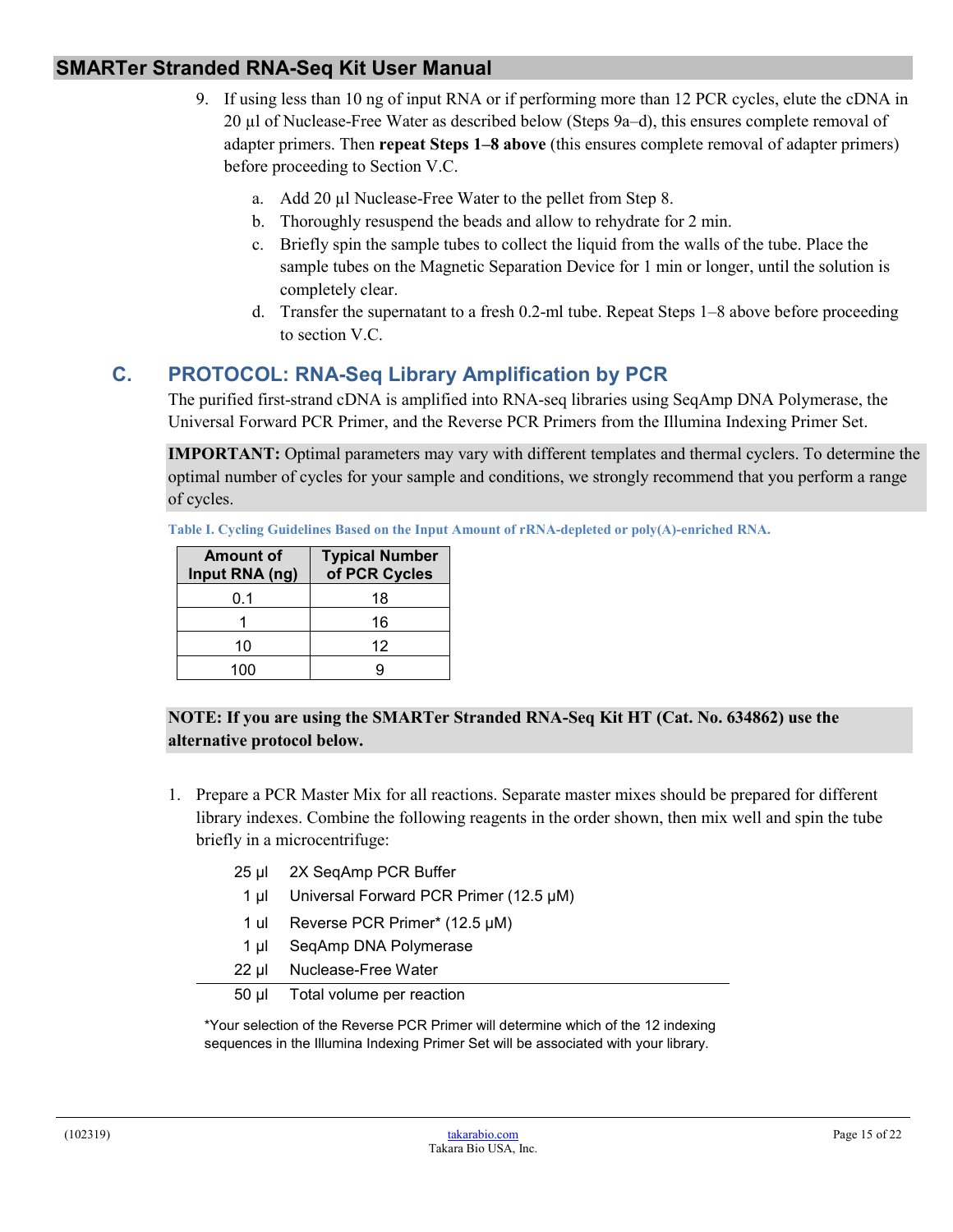- 9. If using less than 10 ng of input RNA or if performing more than 12 PCR cycles, elute the cDNA in 20 µl of Nuclease-Free Water as described below (Steps 9a–d), this ensures complete removal of adapter primers. Then **repeat Steps 1–8 above** (this ensures complete removal of adapter primers) before proceeding to Section V.C.
	- a. Add 20 µl Nuclease-Free Water to the pellet from Step 8.
	- b. Thoroughly resuspend the beads and allow to rehydrate for 2 min.
	- c. Briefly spin the sample tubes to collect the liquid from the walls of the tube. Place the sample tubes on the Magnetic Separation Device for 1 min or longer, until the solution is completely clear.
	- d. Transfer the supernatant to a fresh 0.2-ml tube. Repeat Steps 1–8 above before proceeding to section V.C.

## <span id="page-14-0"></span>**C. PROTOCOL: RNA-Seq Library Amplification by PCR**

The purified first-strand cDNA is amplified into RNA-seq libraries using SeqAmp DNA Polymerase, the Universal Forward PCR Primer, and the Reverse PCR Primers from the Illumina Indexing Primer Set.

**IMPORTANT:** Optimal parameters may vary with different templates and thermal cyclers. To determine the optimal number of cycles for your sample and conditions, we strongly recommend that you perform a range of cycles.

**Table I. Cycling Guidelines Based on the Input Amount of rRNA-depleted or poly(A)-enriched RNA.**

| <b>Amount of</b><br>Input RNA (ng) | <b>Typical Number</b><br>of PCR Cycles |
|------------------------------------|----------------------------------------|
| 0.1                                | 18                                     |
|                                    | 16                                     |
| 10                                 | 12                                     |
| 100                                |                                        |

#### **NOTE: If you are using the SMARTer Stranded RNA-Seq Kit HT (Cat. No. 634862) use the alternative protocol below.**

- 1. Prepare a PCR Master Mix for all reactions. Separate master mixes should be prepared for different library indexes. Combine the following reagents in the order shown, then mix well and spin the tube briefly in a microcentrifuge:
	- 25 µl 2X SeqAmp PCR Buffer
		- 1 µl Universal Forward PCR Primer (12.5 μM)
		- 1 ul Reverse PCR Primer\* (12.5 μM)
	- 1 µl SeqAmp DNA Polymerase
	- 22 µl Nuclease-Free Water
	- 50 µl Total volume per reaction

\*Your selection of the Reverse PCR Primer will determine which of the 12 indexing sequences in the Illumina Indexing Primer Set will be associated with your library.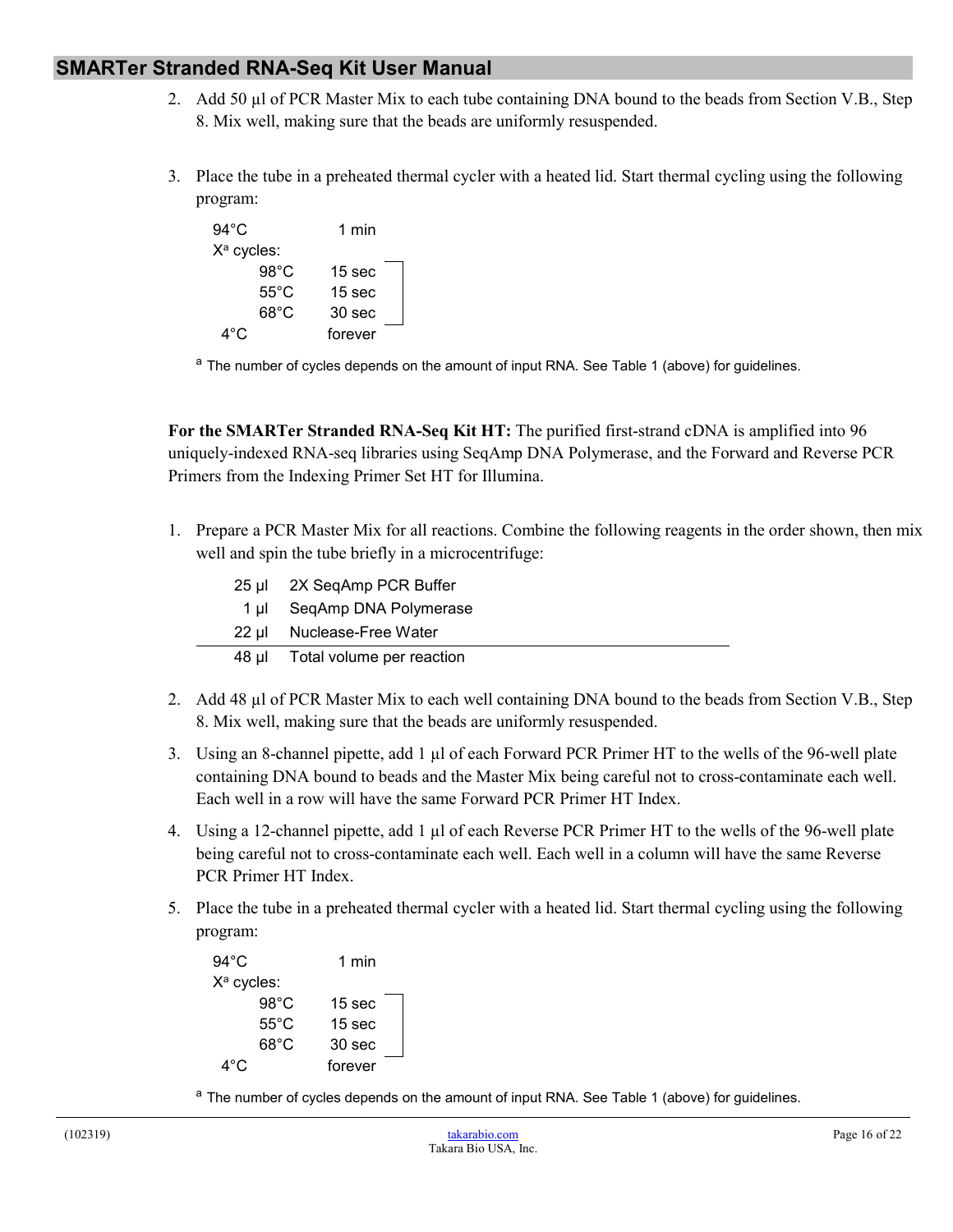- 2. Add 50 µl of PCR Master Mix to each tube containing DNA bound to the beads from Section V.B., Step 8. Mix well, making sure that the beads are uniformly resuspended.
- 3. Place the tube in a preheated thermal cycler with a heated lid. Start thermal cycling using the following program:

| $94^{\circ}$ C         | 1 min             |
|------------------------|-------------------|
| X <sup>a</sup> cycles: |                   |
| $98^{\circ}$ C         | 15 <sub>sec</sub> |
| $55^{\circ}$ C         | 15 sec            |
| 68°C                   | 30 sec            |
| 4°C                    | forever           |

<sup>a</sup> The number of cycles depends on the amount of input RNA. See Table 1 (above) for guidelines.

**For the SMARTer Stranded RNA-Seq Kit HT:** The purified first-strand cDNA is amplified into 96 uniquely-indexed RNA-seq libraries using SeqAmp DNA Polymerase, and the Forward and Reverse PCR Primers from the Indexing Primer Set HT for Illumina.

1. Prepare a PCR Master Mix for all reactions. Combine the following reagents in the order shown, then mix well and spin the tube briefly in a microcentrifuge:

| $25$ µ | 2X SeqAmp PCR Buffer      |
|--------|---------------------------|
| 1 ul   | SeqAmp DNA Polymerase     |
| 22 µl  | Nuclease-Free Water       |
| 48 µl  | Total volume per reaction |

- 2. Add 48 µl of PCR Master Mix to each well containing DNA bound to the beads from Section V.B., Step 8. Mix well, making sure that the beads are uniformly resuspended.
- 3. Using an 8-channel pipette, add 1  $\mu$ l of each Forward PCR Primer HT to the wells of the 96-well plate containing DNA bound to beads and the Master Mix being careful not to cross-contaminate each well. Each well in a row will have the same Forward PCR Primer HT Index.
- 4. Using a 12-channel pipette, add 1 µl of each Reverse PCR Primer HT to the wells of the 96-well plate being careful not to cross-contaminate each well. Each well in a column will have the same Reverse PCR Primer HT Index.
- 5. Place the tube in a preheated thermal cycler with a heated lid. Start thermal cycling using the following program:

| $94^{\circ}$ C | 1 min             |
|----------------|-------------------|
| $X^a$ cycles:  |                   |
| $98^{\circ}$ C | 15 sec            |
| $55^{\circ}$ C | 15 <sub>sec</sub> |
| $68^{\circ}$ C | 30 <sub>sec</sub> |
| 4°C            | forever           |

<sup>a</sup> The number of cycles depends on the amount of input RNA. See Table 1 (above) for guidelines.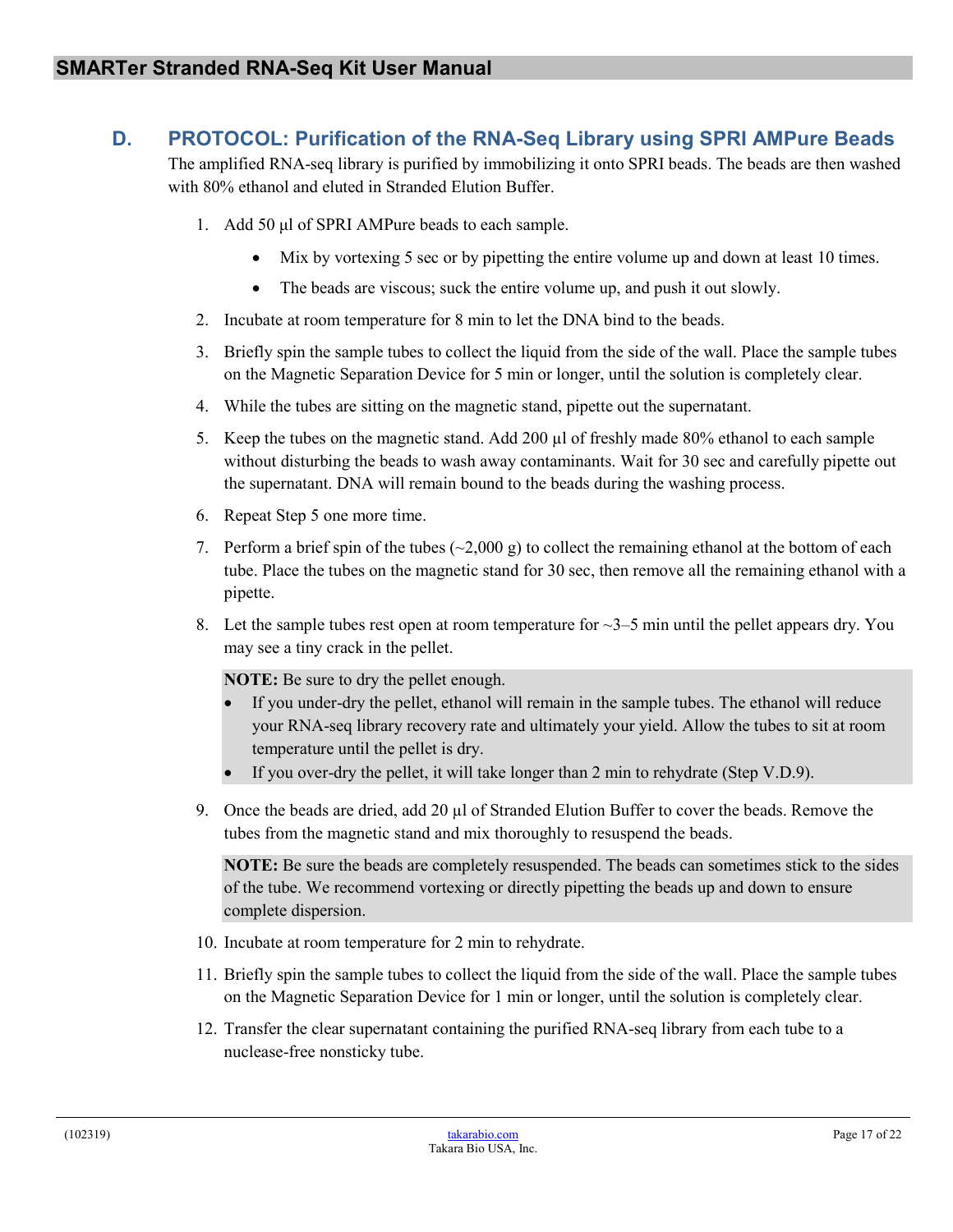## <span id="page-16-0"></span>**D. PROTOCOL: Purification of the RNA-Seq Library using SPRI AMPure Beads**

The amplified RNA-seq library is purified by immobilizing it onto SPRI beads. The beads are then washed with 80% ethanol and eluted in Stranded Elution Buffer.

- 1. Add 50 μl of SPRI AMPure beads to each sample.
	- Mix by vortexing 5 sec or by pipetting the entire volume up and down at least 10 times.
	- The beads are viscous; suck the entire volume up, and push it out slowly.
- 2. Incubate at room temperature for 8 min to let the DNA bind to the beads.
- 3. Briefly spin the sample tubes to collect the liquid from the side of the wall. Place the sample tubes on the Magnetic Separation Device for 5 min or longer, until the solution is completely clear.
- 4. While the tubes are sitting on the magnetic stand, pipette out the supernatant.
- 5. Keep the tubes on the magnetic stand. Add 200  $\mu$ l of freshly made 80% ethanol to each sample without disturbing the beads to wash away contaminants. Wait for 30 sec and carefully pipette out the supernatant. DNA will remain bound to the beads during the washing process.
- 6. Repeat Step 5 one more time.
- 7. Perform a brief spin of the tubes  $(\sim 2,000 \text{ g})$  to collect the remaining ethanol at the bottom of each tube. Place the tubes on the magnetic stand for 30 sec, then remove all the remaining ethanol with a pipette.
- 8. Let the sample tubes rest open at room temperature for  $\sim$ 3–5 min until the pellet appears dry. You may see a tiny crack in the pellet.

**NOTE:** Be sure to dry the pellet enough.

- If you under-dry the pellet, ethanol will remain in the sample tubes. The ethanol will reduce your RNA-seq library recovery rate and ultimately your yield. Allow the tubes to sit at room temperature until the pellet is dry.
- If you over-dry the pellet, it will take longer than 2 min to rehydrate (Step V.D.9).
- 9. Once the beads are dried, add 20 µl of Stranded Elution Buffer to cover the beads. Remove the tubes from the magnetic stand and mix thoroughly to resuspend the beads.

**NOTE:** Be sure the beads are completely resuspended. The beads can sometimes stick to the sides of the tube. We recommend vortexing or directly pipetting the beads up and down to ensure complete dispersion.

- 10. Incubate at room temperature for 2 min to rehydrate.
- 11. Briefly spin the sample tubes to collect the liquid from the side of the wall. Place the sample tubes on the Magnetic Separation Device for 1 min or longer, until the solution is completely clear.
- 12. Transfer the clear supernatant containing the purified RNA-seq library from each tube to a nuclease-free nonsticky tube.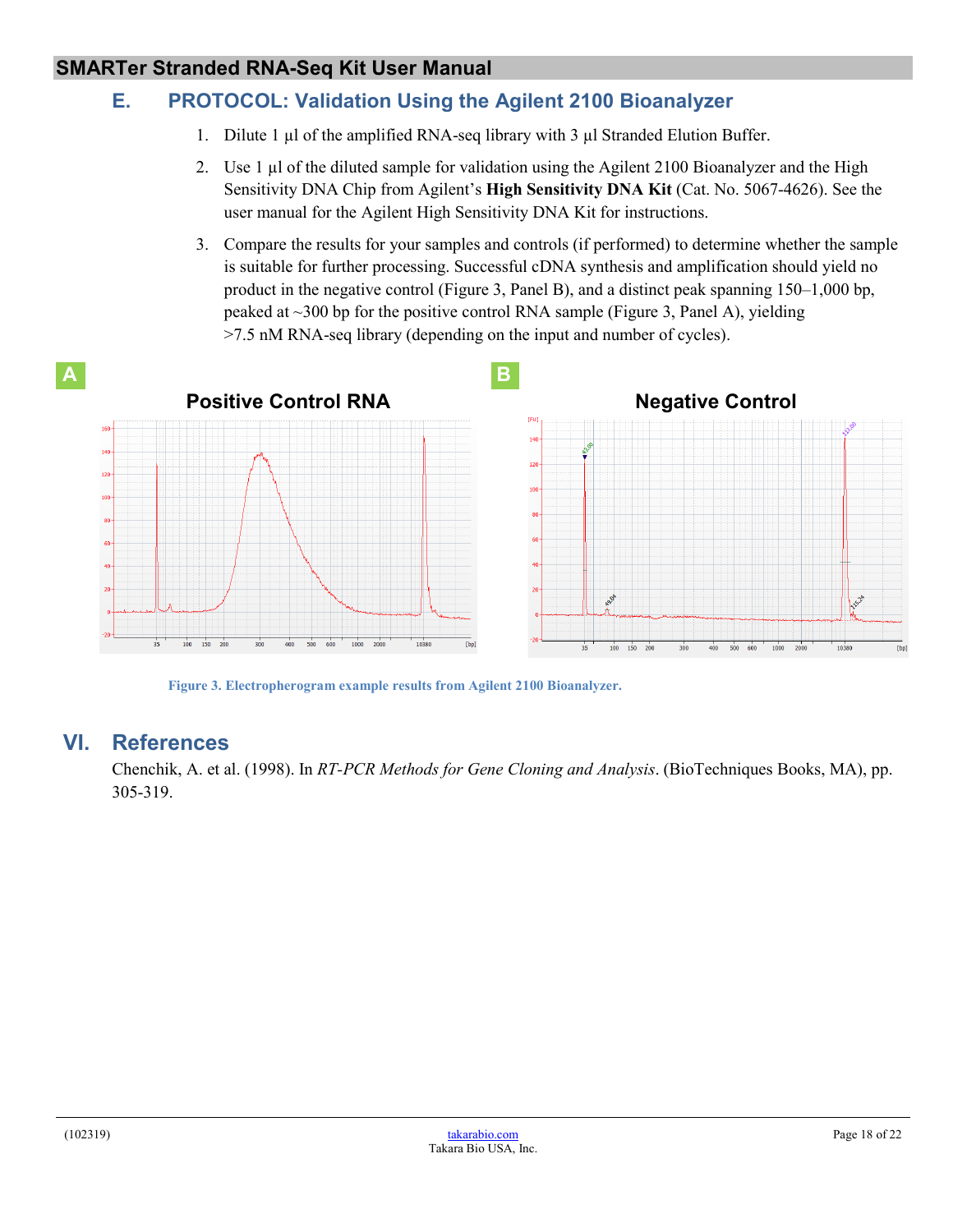## <span id="page-17-0"></span>**E. PROTOCOL: Validation Using the Agilent 2100 Bioanalyzer**

- 1. Dilute 1 µl of the amplified RNA-seq library with 3 µl Stranded Elution Buffer.
- 2. Use 1 µl of the diluted sample for validation using the Agilent 2100 Bioanalyzer and the High Sensitivity DNA Chip from Agilent's **High Sensitivity DNA Kit** (Cat. No. 5067-4626). See the user manual for the Agilent High Sensitivity DNA Kit for instructions.
- 3. Compare the results for your samples and controls (if performed) to determine whether the sample is suitable for further processing. Successful cDNA synthesis and amplification should yield no product in the negative control (Figure 3, Panel B), and a distinct peak spanning 150–1,000 bp, peaked at ~300 bp for the positive control RNA sample (Figure 3, Panel A), yielding >7.5 nM RNA-seq library (depending on the input and number of cycles).



**Figure 3. Electropherogram example results from Agilent 2100 Bioanalyzer.**

## <span id="page-17-2"></span><span id="page-17-1"></span>**VI. References**

Chenchik, A. et al. (1998). In *RT-PCR Methods for Gene Cloning and Analysis*. (BioTechniques Books, MA), pp. 305-319.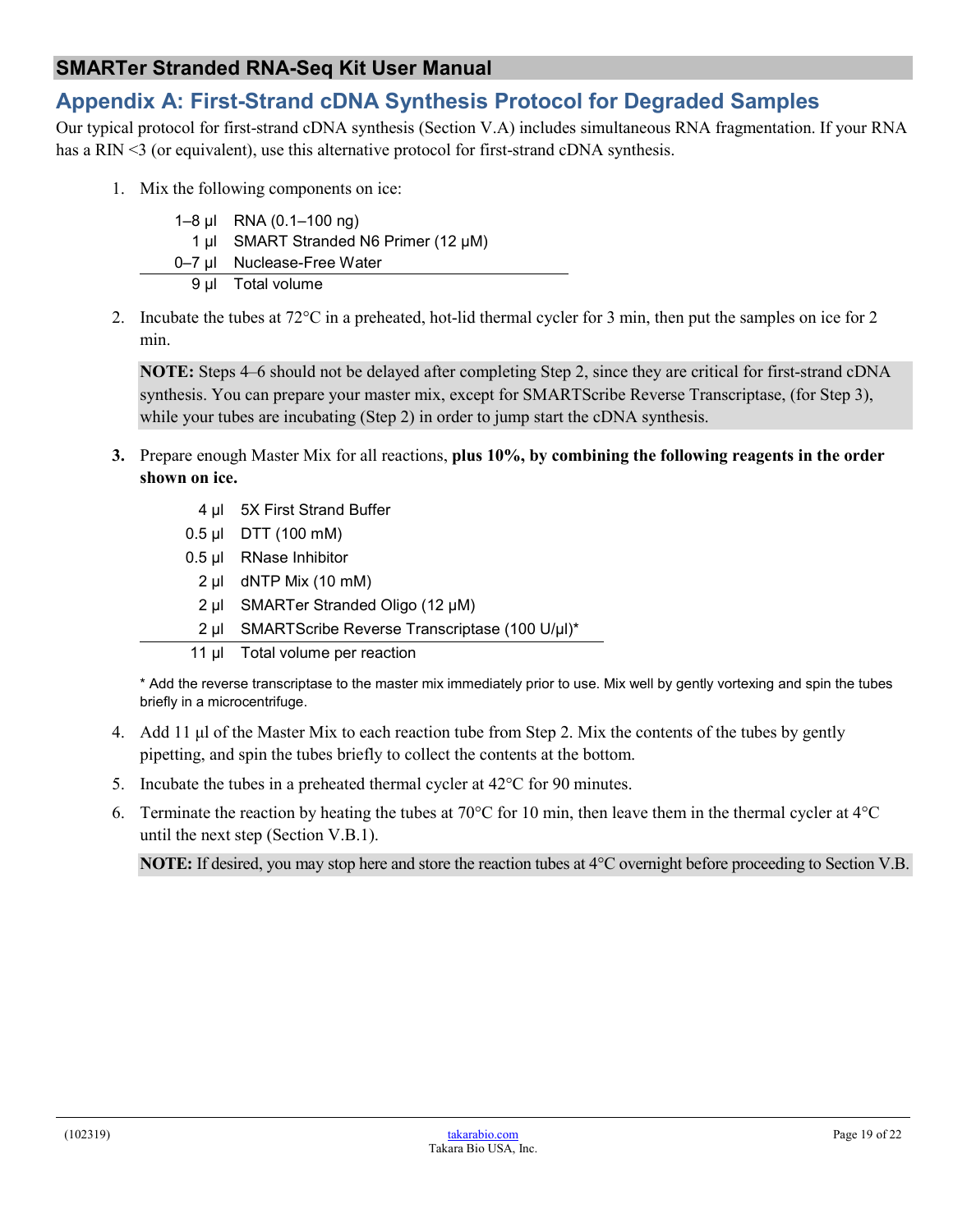## <span id="page-18-0"></span>**Appendix A: First-Strand cDNA Synthesis Protocol for Degraded Samples**

Our typical protocol for first-strand cDNA synthesis (Section V.A) includes simultaneous RNA fragmentation. If your RNA has a RIN <3 (or equivalent), use this alternative protocol for first-strand cDNA synthesis.

1. Mix the following components on ice:

| 1–8 µl RNA $(0.1-100 \text{ ng})$     |
|---------------------------------------|
| 1 µl SMART Stranded N6 Primer (12 µM) |
| 0–7 µl Nuclease-Free Water            |
| 9 µl Total volume                     |

2. Incubate the tubes at 72°C in a preheated, hot-lid thermal cycler for 3 min, then put the samples on ice for 2 min.

**NOTE:** Steps 4–6 should not be delayed after completing Step 2, since they are critical for first-strand cDNA synthesis. You can prepare your master mix, except for SMARTScribe Reverse Transcriptase, (for Step 3), while your tubes are incubating (Step 2) in order to jump start the cDNA synthesis.

- **3.** Prepare enough Master Mix for all reactions, **plus 10%, by combining the following reagents in the order shown on ice.**
	- 4 ul 5X First Strand Buffer
	- 0.5 µl DTT (100 mM)
	- 0.5 µl RNase Inhibitor
		- 2 µl dNTP Mix (10 mM)
		- 2 µl SMARTer Stranded Oligo (12 μM)
	- 2 µl SMARTScribe Reverse Transcriptase (100 U/μl)\*
	- 11 ul Total volume per reaction

\* Add the reverse transcriptase to the master mix immediately prior to use. Mix well by gently vortexing and spin the tubes briefly in a microcentrifuge.

- 4. Add 11 μl of the Master Mix to each reaction tube from Step 2. Mix the contents of the tubes by gently pipetting, and spin the tubes briefly to collect the contents at the bottom.
- 5. Incubate the tubes in a preheated thermal cycler at  $42^{\circ}$ C for 90 minutes.
- 6. Terminate the reaction by heating the tubes at 70°C for 10 min, then leave them in the thermal cycler at 4°C until the next step (Section V.B.1).

**NOTE:** If desired, you may stop here and store the reaction tubes at 4°C overnight before proceeding to Section V.B.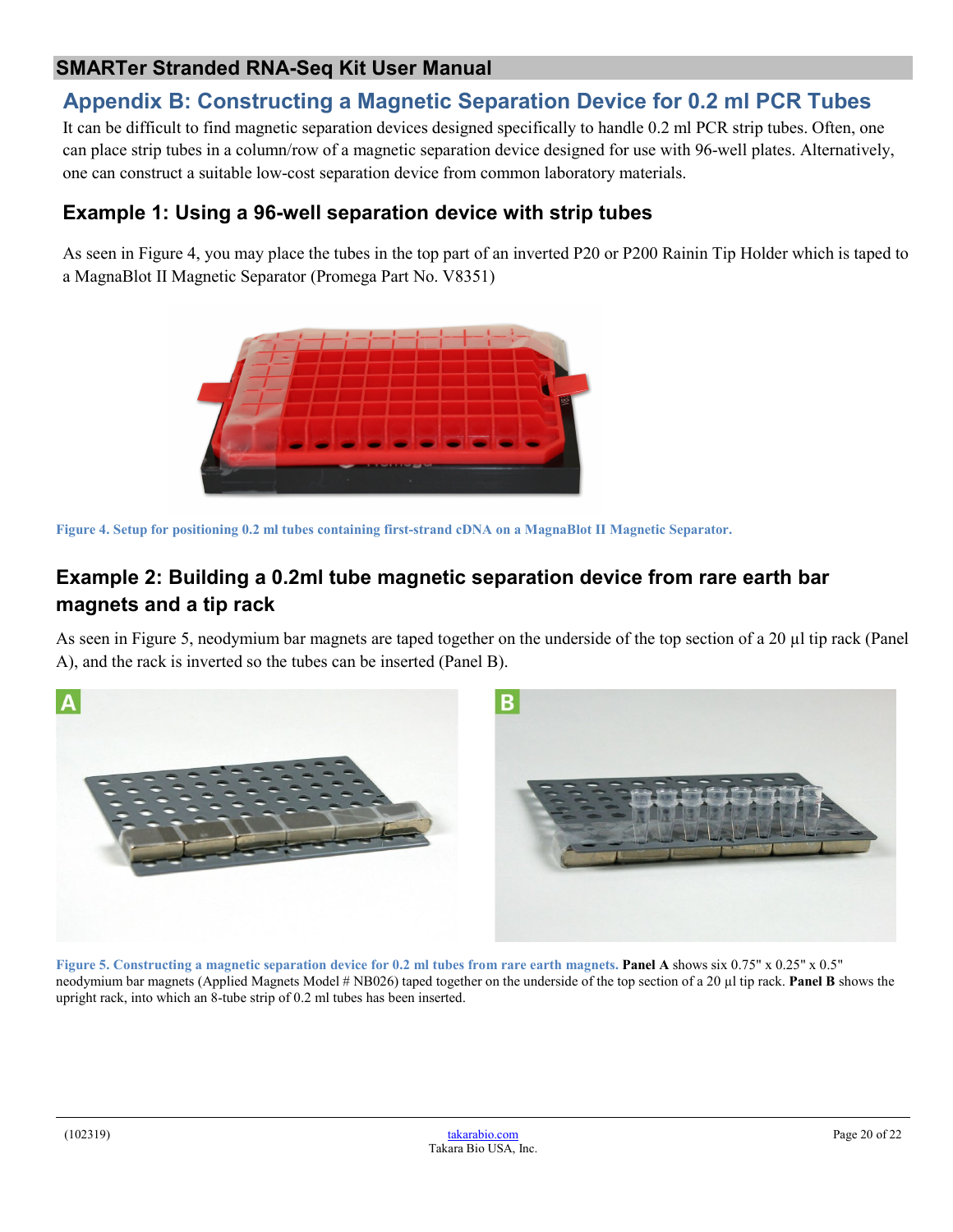## <span id="page-19-0"></span>**Appendix B: Constructing a Magnetic Separation Device for 0.2 ml PCR Tubes**

It can be difficult to find magnetic separation devices designed specifically to handle 0.2 ml PCR strip tubes. Often, one can place strip tubes in a column/row of a magnetic separation device designed for use with 96-well plates. Alternatively, one can construct a suitable low-cost separation device from common laboratory materials.

## **Example 1: Using a 96-well separation device with strip tubes**

As seen in Figure 4, you may place the tubes in the top part of an inverted P20 or P200 Rainin Tip Holder which is taped to a MagnaBlot II Magnetic Separator (Promega Part No. V8351)



<span id="page-19-1"></span>**Figure 4. Setup for positioning 0.2 ml tubes containing first-strand cDNA on a MagnaBlot II Magnetic Separator.**

## **Example 2: Building a 0.2ml tube magnetic separation device from rare earth bar magnets and a tip rack**

As seen in Figure 5, neodymium bar magnets are taped together on the underside of the top section of a 20 µl tip rack (Panel A), and the rack is inverted so the tubes can be inserted (Panel B).

<span id="page-19-2"></span>

**Figure 5. Constructing a magnetic separation device for 0.2 ml tubes from rare earth magnets. Panel A** shows six 0.75" x 0.25" x 0.5" neodymium bar magnets (Applied Magnets Model # NB026) taped together on the underside of the top section of a 20 µl tip rack. **Panel B** shows the upright rack, into which an 8-tube strip of 0.2 ml tubes has been inserted.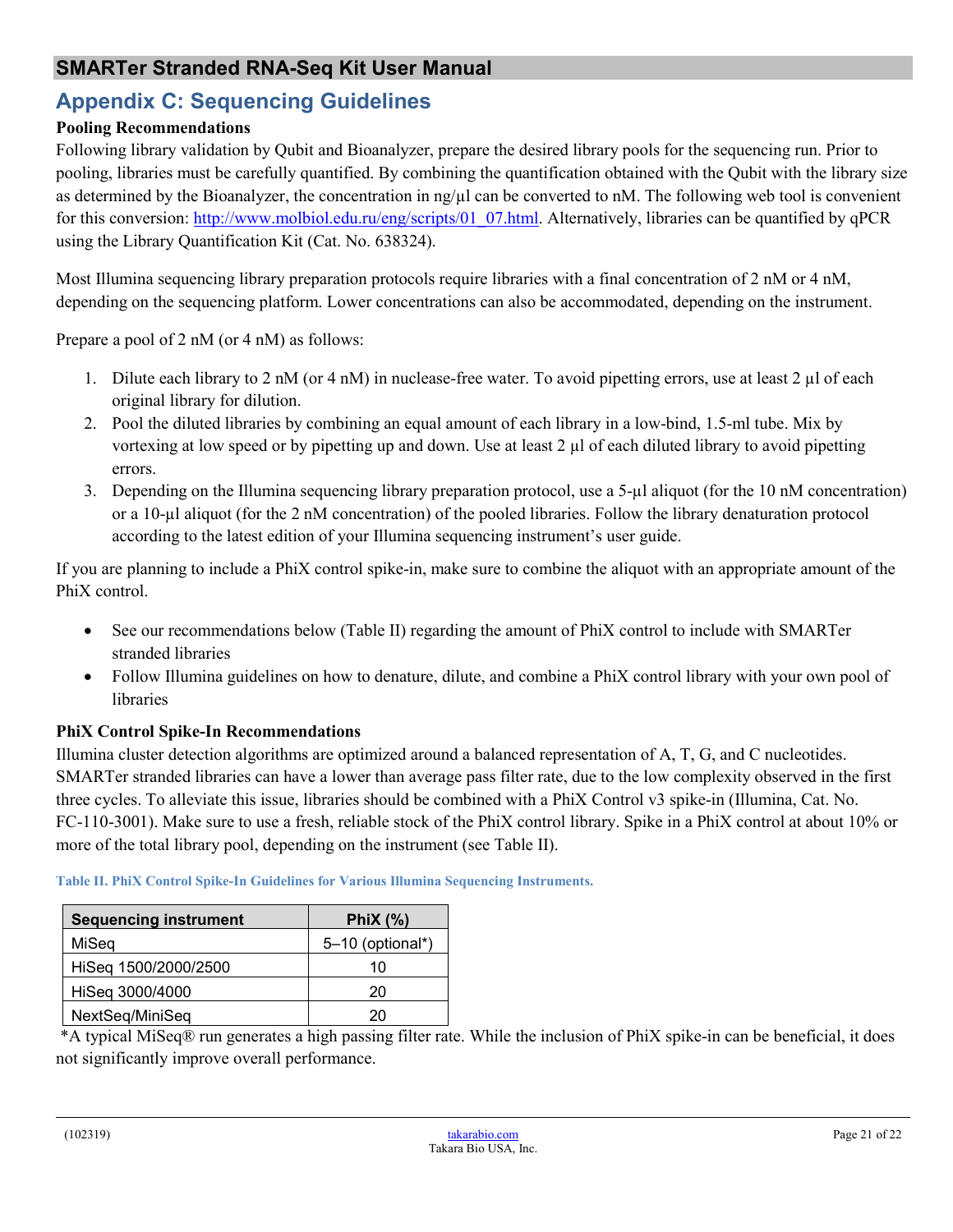## <span id="page-20-0"></span>**Appendix C: Sequencing Guidelines**

#### **Pooling Recommendations**

Following library validation by Qubit and Bioanalyzer, prepare the desired library pools for the sequencing run. Prior to pooling, libraries must be carefully quantified. By combining the quantification obtained with the Qubit with the library size as determined by the Bioanalyzer, the concentration in  $\frac{1}{2}$  can be converted to nM. The following web tool is convenient for this conversion: [http://www.molbiol.edu.ru/eng/scripts/01\\_07.html.](http://www.molbiol.edu.ru/eng/scripts/01_07.html) Alternatively, libraries can be quantified by qPCR using the Library Quantification Kit (Cat. No. 638324).

Most Illumina sequencing library preparation protocols require libraries with a final concentration of 2 nM or 4 nM, depending on the sequencing platform. Lower concentrations can also be accommodated, depending on the instrument.

Prepare a pool of 2 nM (or 4 nM) as follows:

- 1. Dilute each library to 2 nM (or 4 nM) in nuclease-free water. To avoid pipetting errors, use at least 2 µ of each original library for dilution.
- 2. Pool the diluted libraries by combining an equal amount of each library in a low-bind, 1.5-ml tube. Mix by vortexing at low speed or by pipetting up and down. Use at least  $2 \mu$  of each diluted library to avoid pipetting errors.
- 3. Depending on the Illumina sequencing library preparation protocol, use a 5-µl aliquot (for the 10 nM concentration) or a 10-µl aliquot (for the 2 nM concentration) of the pooled libraries. Follow the library denaturation protocol according to the latest edition of your Illumina sequencing instrument's user guide.

If you are planning to include a PhiX control spike-in, make sure to combine the aliquot with an appropriate amount of the PhiX control.

- See our recommendations below (Table II) regarding the amount of PhiX control to include with SMARTer stranded libraries
- Follow Illumina guidelines on how to denature, dilute, and combine a PhiX control library with your own pool of libraries

#### **PhiX Control Spike-In Recommendations**

Illumina cluster detection algorithms are optimized around a balanced representation of A, T, G, and C nucleotides. SMARTer stranded libraries can have a lower than average pass filter rate, due to the low complexity observed in the first three cycles. To alleviate this issue, libraries should be combined with a PhiX Control v3 spike-in (Illumina, Cat. No. FC-110-3001). Make sure to use a fresh, reliable stock of the PhiX control library. Spike in a PhiX control at about 10% or more of the total library pool, depending on the instrument (see Table II).

| <b>Sequencing instrument</b> | PhiX $(%)$         |
|------------------------------|--------------------|
| MiSeq                        | $5-10$ (optional*) |
| HiSeq 1500/2000/2500         | 10                 |
| HiSeq 3000/4000              | 20                 |
| NextSeq/MiniSeq              | 20                 |

<span id="page-20-1"></span>**Table II. PhiX Control Spike-In Guidelines for Various Illumina Sequencing Instruments.**

\*A typical MiSeq® run generates a high passing filter rate. While the inclusion of PhiX spike-in can be beneficial, it does not significantly improve overall performance.